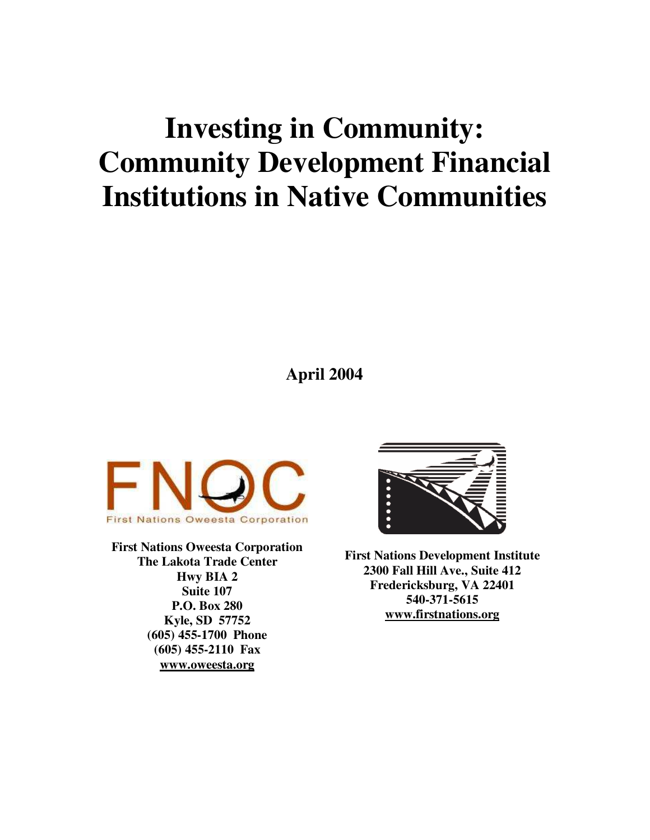# **Investing in Community: Community Development Financial Institutions in Native Communities**

**April 2004**



**First Nations Oweesta Corporation The Lakota Trade Center Hwy BIA 2 Suite 107 P.O. Box 280 Kyle, SD 57752 (605) 455-1700 Phone (605) 455-2110 Fax www.oweesta.org**



**First Nations Development Institute 2300 Fall Hill Ave., Suite 412 Fredericksburg, VA 22401 540-371-5615 www.firstnations.org**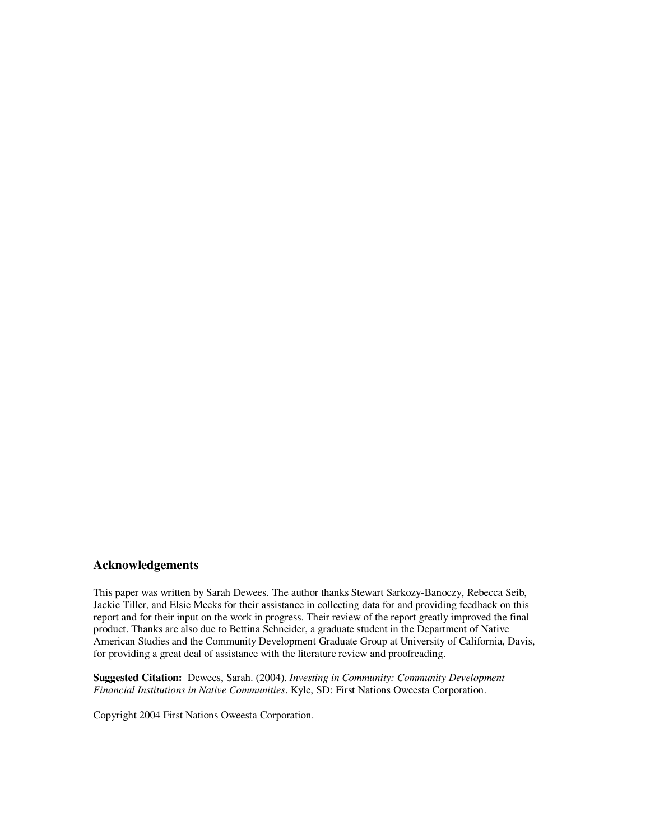#### **Acknowledgements**

This paper was written by Sarah Dewees. The author thanks Stewart Sarkozy-Banoczy, Rebecca Seib, Jackie Tiller, and Elsie Meeks for their assistance in collecting data for and providing feedback on this report and for their input on the work in progress. Their review of the report greatly improved the final product. Thanks are also due to Bettina Schneider, a graduate student in the Department of Native American Studies and the Community Development Graduate Group at University of California, Davis, for providing a great deal of assistance with the literature review and proofreading.

**Suggested Citation:** Dewees, Sarah. (2004). *Investing in Community: Community Development Financial Institutions in Native Communities*. Kyle, SD: First Nations Oweesta Corporation.

Copyright 2004 First Nations Oweesta Corporation.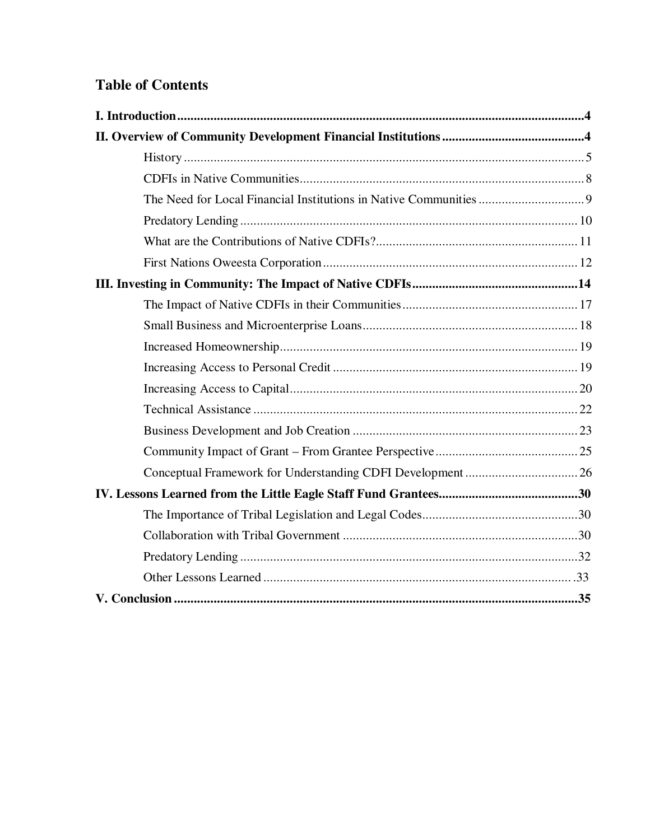# **Table of Contents**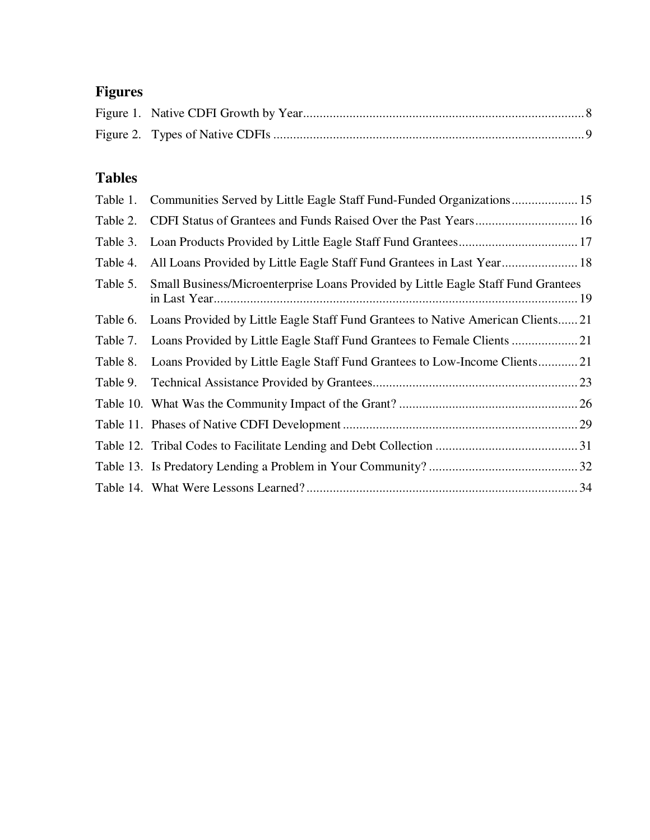# **Figures**

# **Tables**

|          | Table 1. Communities Served by Little Eagle Staff Fund-Funded Organizations 15    |  |
|----------|-----------------------------------------------------------------------------------|--|
| Table 2. |                                                                                   |  |
| Table 3. |                                                                                   |  |
| Table 4. | All Loans Provided by Little Eagle Staff Fund Grantees in Last Year 18            |  |
| Table 5. | Small Business/Microenterprise Loans Provided by Little Eagle Staff Fund Grantees |  |
| Table 6. | Loans Provided by Little Eagle Staff Fund Grantees to Native American Clients21   |  |
| Table 7. |                                                                                   |  |
| Table 8. | Loans Provided by Little Eagle Staff Fund Grantees to Low-Income Clients21        |  |
| Table 9. |                                                                                   |  |
|          |                                                                                   |  |
|          |                                                                                   |  |
|          |                                                                                   |  |
|          |                                                                                   |  |
|          |                                                                                   |  |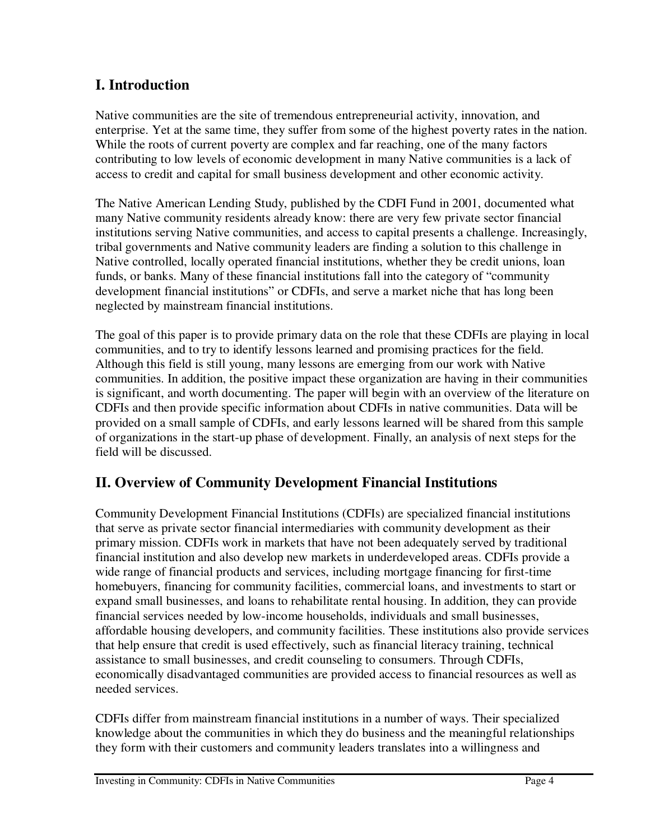## **I. Introduction**

Native communities are the site of tremendous entrepreneurial activity, innovation, and enterprise. Yet at the same time, they suffer from some of the highest poverty rates in the nation. While the roots of current poverty are complex and far reaching, one of the many factors contributing to low levels of economic development in many Native communities is a lack of access to credit and capital for small business development and other economic activity.

The Native American Lending Study, published by the CDFI Fund in 2001, documented what many Native community residents already know: there are very few private sector financial institutions serving Native communities, and access to capital presents a challenge. Increasingly, tribal governments and Native community leaders are finding a solution to this challenge in Native controlled, locally operated financial institutions, whether they be credit unions, loan funds, or banks. Many of these financial institutions fall into the category of "community development financial institutions" or CDFIs, and serve a market niche that has long been neglected by mainstream financial institutions.

The goal of this paper is to provide primary data on the role that these CDFIs are playing in local communities, and to try to identify lessons learned and promising practices for the field. Although this field is still young, many lessons are emerging from our work with Native communities. In addition, the positive impact these organization are having in their communities is significant, and worth documenting. The paper will begin with an overview of the literature on CDFIs and then provide specific information about CDFIs in native communities. Data will be provided on a small sample of CDFIs, and early lessons learned will be shared from this sample of organizations in the start-up phase of development. Finally, an analysis of next steps for the field will be discussed.

## **II. Overview of Community Development Financial Institutions**

Community Development Financial Institutions (CDFIs) are specialized financial institutions that serve as private sector financial intermediaries with community development as their primary mission. CDFIs work in markets that have not been adequately served by traditional financial institution and also develop new markets in underdeveloped areas. CDFIs provide a wide range of financial products and services, including mortgage financing for first-time homebuyers, financing for community facilities, commercial loans, and investments to start or expand small businesses, and loans to rehabilitate rental housing. In addition, they can provide financial services needed by low-income households, individuals and small businesses, affordable housing developers, and community facilities. These institutions also provide services that help ensure that credit is used effectively, such as financial literacy training, technical assistance to small businesses, and credit counseling to consumers. Through CDFIs, economically disadvantaged communities are provided access to financial resources as well as needed services.

CDFIs differ from mainstream financial institutions in a number of ways. Their specialized knowledge about the communities in which they do business and the meaningful relationships they form with their customers and community leaders translates into a willingness and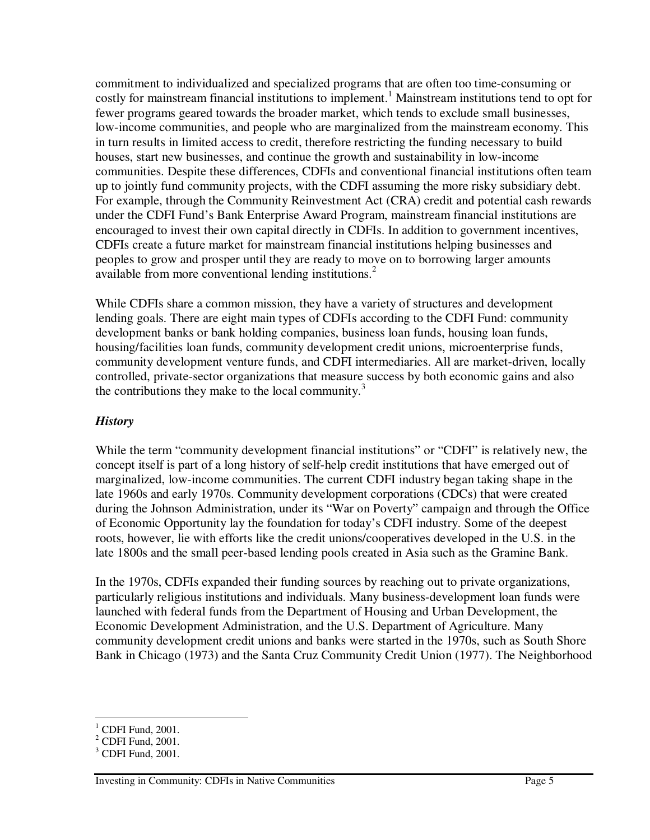commitment to individualized and specialized programs that are often too time-consuming or costly for mainstream financial institutions to implement. <sup>1</sup> Mainstream institutions tend to opt for fewer programs geared towards the broader market, which tends to exclude small businesses, low-income communities, and people who are marginalized from the mainstream economy. This in turn results in limited access to credit, therefore restricting the funding necessary to build houses, start new businesses, and continue the growth and sustainability in low-income communities. Despite these differences, CDFIs and conventional financial institutions often team up to jointly fund community projects, with the CDFI assuming the more risky subsidiary debt. For example, through the Community Reinvestment Act (CRA) credit and potential cash rewards under the CDFI Fund's Bank Enterprise Award Program, mainstream financial institutions are encouraged to invest their own capital directly in CDFIs. In addition to government incentives, CDFIs create a future market for mainstream financial institutions helping businesses and peoples to grow and prosper until they are ready to move on to borrowing larger amounts available from more conventional lending institutions. 2

While CDFIs share a common mission, they have a variety of structures and development lending goals. There are eight main types of CDFIs according to the CDFI Fund: community development banks or bank holding companies, business loan funds, housing loan funds, housing/facilities loan funds, community development credit unions, microenterprise funds, community development venture funds, and CDFI intermediaries. All are market-driven, locally controlled, private-sector organizations that measure success by both economic gains and also the contributions they make to the local community.<sup>3</sup>

#### *History*

While the term "community development financial institutions" or "CDFI" is relatively new, the concept itself is part of a long history of self-help credit institutions that have emerged out of marginalized, low-income communities. The current CDFI industry began taking shape in the late 1960s and early 1970s. Community development corporations (CDCs) that were created during the Johnson Administration, under its "War on Poverty" campaign and through the Office of Economic Opportunity lay the foundation for today's CDFI industry. Some of the deepest roots, however, lie with efforts like the credit unions/cooperatives developed in the U.S. in the late 1800s and the small peer-based lending pools created in Asia such as the Gramine Bank.

In the 1970s, CDFIs expanded their funding sources by reaching out to private organizations, particularly religious institutions and individuals. Many business-development loan funds were launched with federal funds from the Department of Housing and Urban Development, the Economic Development Administration, and the U.S. Department of Agriculture. Many community development credit unions and banks were started in the 1970s, such as South Shore Bank in Chicago (1973) and the Santa Cruz Community Credit Union (1977). The Neighborhood

 $1$  CDFI Fund, 2001.

 $2$  CDFI Fund, 2001.

 $3$  CDFI Fund, 2001.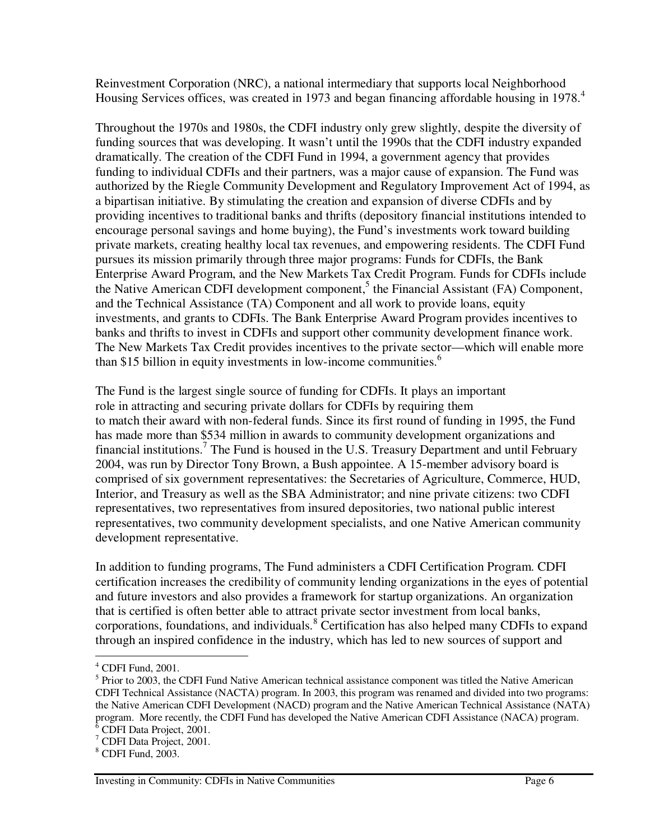Reinvestment Corporation (NRC), a national intermediary that supports local Neighborhood Housing Services offices, was created in 1973 and began financing affordable housing in 1978.<sup>4</sup>

Throughout the 1970s and 1980s, the CDFI industry only grew slightly, despite the diversity of funding sources that was developing. It wasn't until the 1990s that the CDFI industry expanded dramatically. The creation of the CDFI Fund in 1994, a government agency that provides funding to individual CDFIs and their partners, was a major cause of expansion. The Fund was authorized by the Riegle Community Development and Regulatory Improvement Act of 1994, as a bipartisan initiative. By stimulating the creation and expansion of diverse CDFIs and by providing incentives to traditional banks and thrifts (depository financial institutions intended to encourage personal savings and home buying, the Fund's investments work toward building private markets, creating healthy local tax revenues, and empowering residents. The CDFI Fund pursues its mission primarily through three major programs: Funds for CDFIs, the Bank Enterprise Award Program, and the New Markets Tax Credit Program. Funds for CDFIs include the Native American CDFI development component,<sup>5</sup> the Financial Assistant (FA) Component, and the Technical Assistance (TA) Component and all work to provide loans, equity investments, and grants to CDFIs. The Bank Enterprise Award Program provides incentives to banks and thrifts to invest in CDFIs and support other community development finance work. The New Markets Tax Credit provides incentives to the private sector—which will enable more than \$15 billion in equity investments in low-income communities. 6

The Fund is the largest single source of funding for CDFIs. It plays an important role in attracting and securing private dollars for CDFIs by requiring them to match their award with non-federal funds. Since its first round of funding in 1995, the Fund has made more than \$534 million in awards to community development organizations and financial institutions.<sup>7</sup> The Fund is housed in the U.S. Treasury Department and until February 2004, was run by Director Tony Brown, a Bush appointee. A 15-member advisory board is comprised of six government representatives: the Secretaries of Agriculture, Commerce, HUD, Interior, and Treasury as well as the SBA Administrator; and nine private citizens: two CDFI representatives, two representatives from insured depositories, two national public interest representatives, two community development specialists, and one Native American community development representative.

In addition to funding programs, The Fund administers a CDFI Certification Program. CDFI certification increases the credibility of community lending organizations in the eyes of potential and future investors and also provides a framework for startup organizations. An organization that is certified is often better able to attract private sector investment from local banks, corporations, foundations, and individuals. <sup>8</sup> Certification has also helped many CDFIs to expand through an inspired confidence in the industry, which has led to new sources of support and

 $<sup>4</sup>$  CDFI Fund, 2001.</sup>

<sup>&</sup>lt;sup>5</sup> Prior to 2003, the CDFI Fund Native American technical assistance component was titled the Native American CDFI Technical Assistance (NACTA) program. In 2003, this program was renamed and divided into two programs: the Native American CDFI Development (NACD) program and the Native American Technical Assistance (NATA) program. More recently, the CDFI Fund has developed the Native American CDFI Assistance (NACA) program. <sup>6</sup> CDFI Data Project, 2001.

<sup>7</sup> CDFI Data Project, 2001.

<sup>8</sup> CDFI Fund, 2003.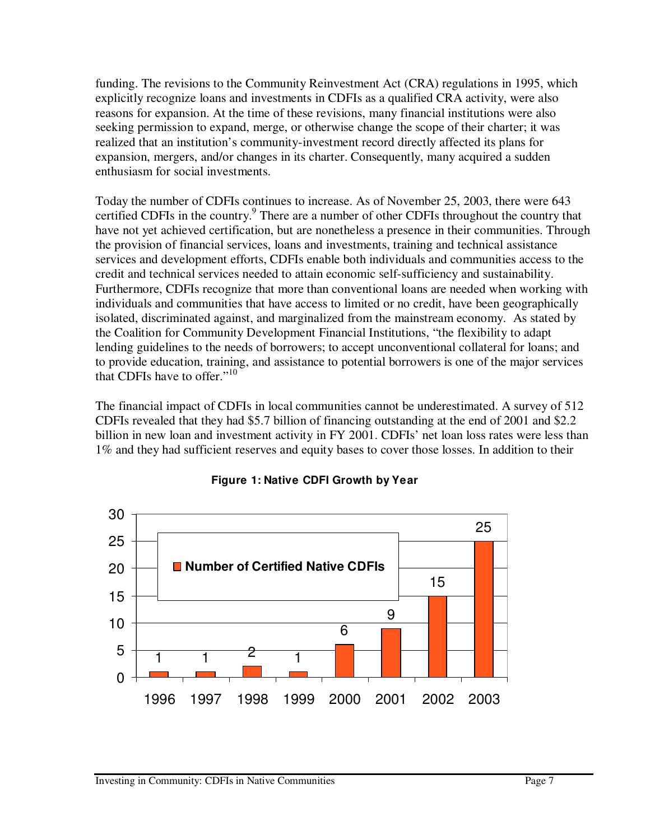funding. The revisions to the Community Reinvestment Act (CRA) regulations in 1995, which explicitly recognize loans and investments in CDFIs as a qualified CRA activity, were also reasons for expansion. At the time of these revisions, many financial institutions were also seeking permission to expand, merge, or otherwise change the scope of their charter; it was realized that an institution's community-investment record directly affected its plans for expansion, mergers, and/or changes in its charter. Consequently, many acquired a sudden enthusiasm for social investments.

Today the number of CDFIs continues to increase. As of November 25, 2003, there were 643 certified CDFIs in the country. 9 There are a number of other CDFIs throughout the country that have not yet achieved certification, but are nonetheless a presence in their communities. Through the provision of financial services, loans and investments, training and technical assistance services and development efforts, CDFIs enable both individuals and communities access to the credit and technical services needed to attain economic self-sufficiency and sustainability. Furthermore, CDFIs recognize that more than conventional loans are needed when working with individuals and communities that have access to limited or no credit, have been geographically isolated, discriminated against, and marginalized from the mainstream economy. As stated by the Coalition for Community Development Financial Institutions, "the flexibility to adapt lending guidelines to the needs of borrowers; to accept unconventional collateral for loans; and to provide education, training, and assistance to potential borrowers is one of the major services that CDFIs have to offer."<sup>10</sup>

The financial impact of CDFIs in local communities cannot be underestimated. A survey of 512 CDFIs revealed that they had \$5.7 billion of financing outstanding at the end of 2001 and \$2.2 billion in new loan and investment activity in FY 2001. CDFIs' net loan loss rates were less than 1% and they had sufficient reserves and equity bases to cover those losses. In addition to their



#### **Figure 1: Native CDFI Growth by Year**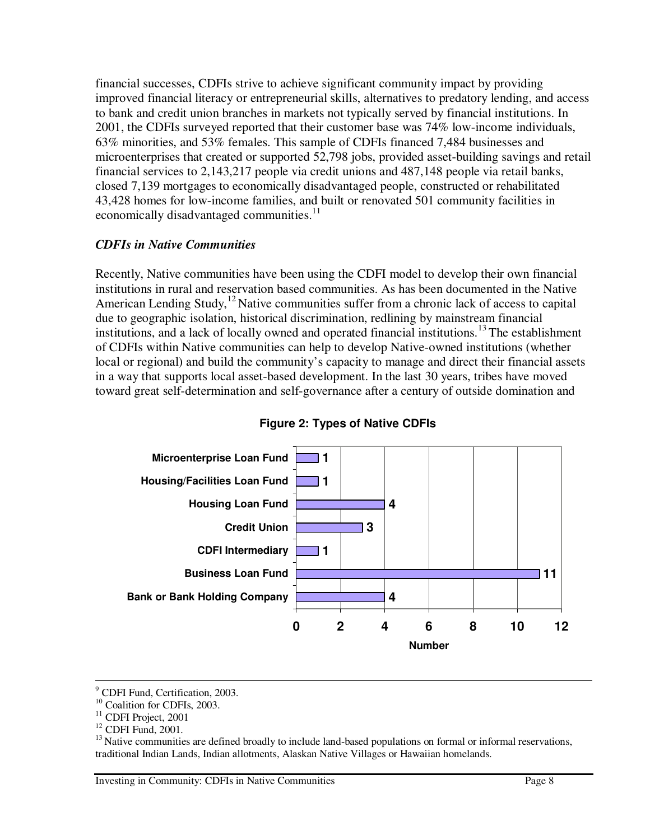financial successes, CDFIs strive to achieve significant community impact by providing improved financial literacy or entrepreneurial skills, alternatives to predatory lending, and access to bank and credit union branches in markets not typically served by financial institutions. In 2001, the CDFIs surveyed reported that their customer base was 74% low-income individuals, 63% minorities, and 53% females. This sample of CDFIs financed 7,484 businesses and microenterprises that created or supported 52,798 jobs, provided asset-building savings and retail financial services to 2,143,217 people via credit unions and 487,148 people via retail banks, closed 7,139 mortgages to economically disadvantaged people, constructed or rehabilitated 43,428 homes for low-income families, and built or renovated 501 community facilities in economically disadvantaged communities.<sup>11</sup>

#### *CDFIs in Native Communities*

Recently, Native communities have been using the CDFI model to develop their own financial institutions in rural and reservation based communities. As has been documented in the Native American Lending Study,<sup>12</sup> Native communities suffer from a chronic lack of access to capital due to geographic isolation, historical discrimination, redlining by mainstream financial institutions, and a lack of locally owned and operated financial institutions.<sup>13</sup> The establishment of CDFIs within Native communities can help to develop Native-owned institutions (whether local or regional) and build the community's capacity to manage and direct their financial assets in a way that supports local asset-based development. In the last 30 years, tribes have moved toward great self-determination and self-governance after a century of outside domination and



#### **Figure 2: Types of Native CDFIs**

<sup>9</sup> CDFI Fund, Certification, 2003.

<sup>&</sup>lt;sup>10</sup> Coalition for CDFIs, 2003.

<sup>&</sup>lt;sup>11</sup> CDFI Project, 2001

<sup>&</sup>lt;sup>12</sup> CDFI Fund, 2001.

 $<sup>13</sup>$  Native communities are defined broadly to include land-based populations on formal or informal reservations,</sup> traditional Indian Lands, Indian allotments, Alaskan Native Villages or Hawaiian homelands.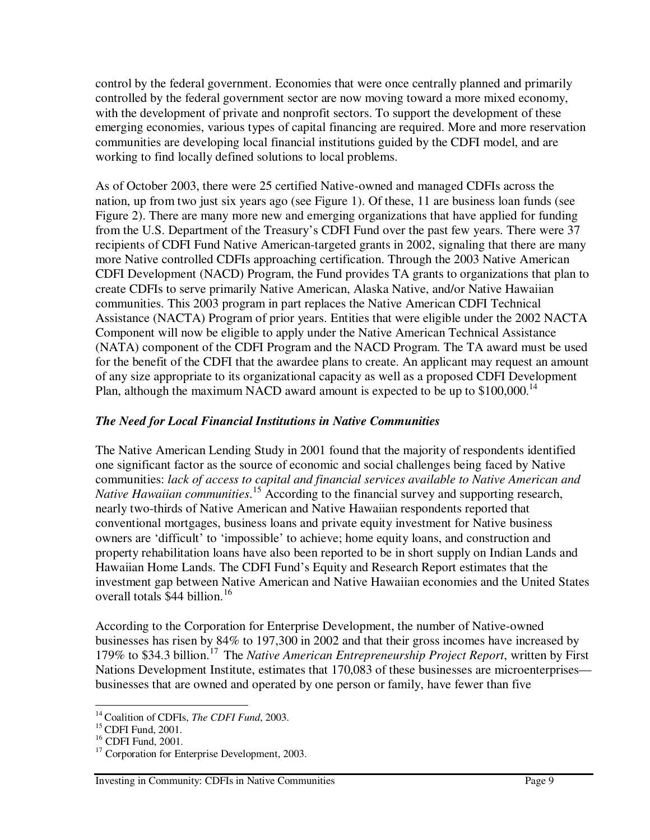control by the federal government. Economies that were once centrally planned and primarily controlled by the federal government sector are now moving toward a more mixed economy, with the development of private and nonprofit sectors. To support the development of these emerging economies, various types of capital financing are required. More and more reservation communities are developing local financial institutions guided by the CDFI model, and are working to find locally defined solutions to local problems.

As of October 2003, there were 25 certified Native-owned and managed CDFIs across the nation, up from two just six years ago (see Figure 1). Of these, 11 are business loan funds (see Figure 2). There are many more new and emerging organizations that have applied for funding from the U.S. Department of the Treasury's CDFI Fund over the past few years. There were 37 recipients of CDFI Fund Native American-targeted grants in 2002, signaling that there are many more Native controlled CDFIs approaching certification. Through the 2003 Native American CDFI Development (NACD) Program, the Fund provides TA grants to organizations that plan to create CDFIs to serve primarily Native American, Alaska Native, and/or Native Hawaiian communities. This 2003 program in part replaces the Native American CDFI Technical Assistance (NACTA) Program of prior years. Entities that were eligible under the 2002 NACTA Component will now be eligible to apply under the Native American Technical Assistance (NATA) component of the CDFI Program and the NACD Program. The TA award must be used for the benefit of the CDFI that the awardee plans to create. An applicant may request an amount of any size appropriate to its organizational capacity as well as a proposed CDFI Development Plan, although the maximum NACD award amount is expected to be up to \$100,000.<sup>14</sup>

#### *The Need for Local Financial Institutions in Native Communities*

The Native American Lending Study in 2001 found that the majority of respondents identified one significant factor as the source of economic and social challenges being faced by Native communities: *lack of access to capital and financial services available to Native American and Native Hawaiian communities*. <sup>15</sup> According to the financial survey and supporting research, nearly two-thirds of Native American and Native Hawaiian respondents reported that conventional mortgages, business loans and private equity investment for Native business owners are 'difficult' to 'impossible' to achieve; home equity loans, and construction and property rehabilitation loans have also been reported to be in short supply on Indian Lands and Hawaiian Home Lands. The CDFI Fund's Equity and Research Report estimates that the investment gap between Native American and Native Hawaiian economies and the United States overall totals \$44 billion. 16

According to the Corporation for Enterprise Development, the number of Native-owned businesses has risen by 84% to 197,300 in 2002 and that their gross incomes have increased by 179% to \$34.3 billion. 17 The *Native American Entrepreneurship Project Report*, written by First Nations Development Institute, estimates that 170,083 of these businesses are microenterprises businesses that are owned and operated by one person or family, have fewer than five

<sup>14</sup> Coalition of CDFIs, *The CDFI Fund*, 2003.

<sup>&</sup>lt;sup>15</sup> CDFI Fund, 2001.

<sup>16</sup> CDFI Fund, 2001.

<sup>&</sup>lt;sup>17</sup> Corporation for Enterprise Development, 2003.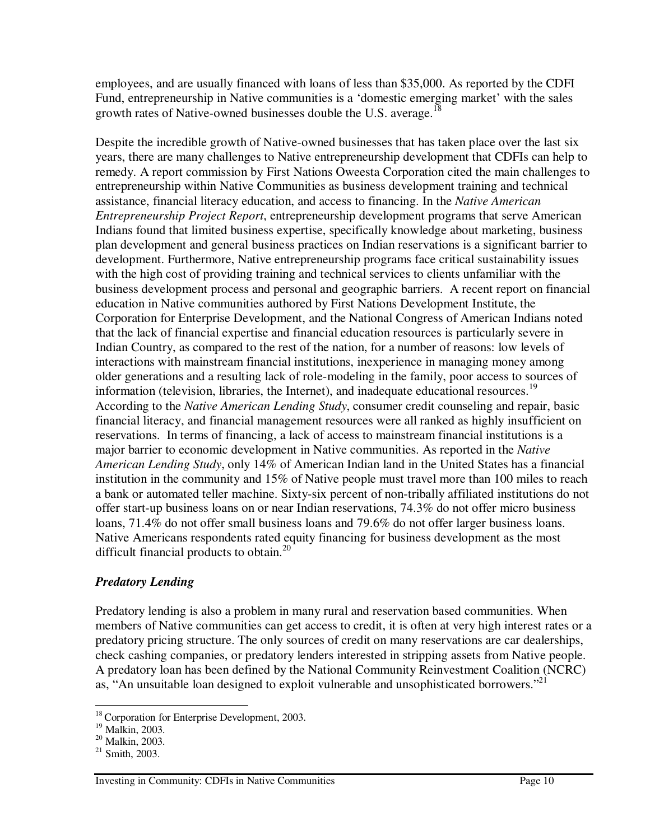employees, and are usually financed with loans of less than \$35,000. As reported by the CDFI Fund, entrepreneurship in Native communities is a 'domestic emerging market' with the sales growth rates of Native-owned businesses double the U.S. average.<sup>18</sup>

Despite the incredible growth of Native-owned businesses that has taken place over the last six years, there are many challenges to Native entrepreneurship development that CDFIs can help to remedy. A report commission by First Nations Oweesta Corporation cited the main challenges to entrepreneurship within Native Communities as business development training and technical assistance, financial literacy education, and access to financing. In the *Native American Entrepreneurship Project Report*, entrepreneurship development programs that serve American Indians found that limited business expertise, specifically knowledge about marketing, business plan development and general business practices on Indian reservations is a significant barrier to development. Furthermore, Native entrepreneurship programs face critical sustainability issues with the high cost of providing training and technical services to clients unfamiliar with the business development process and personal and geographic barriers. A recent report on financial education in Native communities authored by First Nations Development Institute, the Corporation for Enterprise Development, and the National Congress of American Indians noted that the lack of financial expertise and financial education resources is particularly severe in Indian Country, as compared to the rest of the nation, for a number of reasons: low levels of interactions with mainstream financial institutions, inexperience in managing money among older generations and a resulting lack of role-modeling in the family, poor access to sources of information (television, libraries, the Internet), and inadequate educational resources.<sup>19</sup> According to the *Native American Lending Study*, consumer credit counseling and repair, basic financial literacy, and financial management resources were all ranked as highly insufficient on reservations. In terms of financing, a lack of access to mainstream financial institutions is a major barrier to economic development in Native communities. As reported in the *Native American Lending Study*, only 14% of American Indian land in the United States has a financial institution in the community and 15% of Native people must travel more than 100 miles to reach a bank or automated teller machine. Sixty-six percent of non-tribally affiliated institutions do not offer start-up business loans on or near Indian reservations, 74.3% do not offer micro business loans, 71.4% do not offer small business loans and 79.6% do not offer larger business loans. Native Americans respondents rated equity financing for business development as the most difficult financial products to obtain.<sup>20</sup>

#### *Predatory Lending*

Predatory lending is also a problem in many rural and reservation based communities. When members of Native communities can get access to credit, it is often at very high interest rates or a predatory pricing structure. The only sources of credit on many reservations are car dealerships, check cashing companies, or predatory lenders interested in stripping assets from Native people. A predatory loan has been defined by the National Community Reinvestment Coalition (NCRC) as, "An unsuitable loan designed to exploit vulnerable and unsophisticated borrowers."<sup>21</sup>

<sup>18</sup> Corporation for Enterprise Development, 2003.

<sup>19</sup> Malkin, 2003.

<sup>20</sup> Malkin, 2003.

 $21$  Smith, 2003.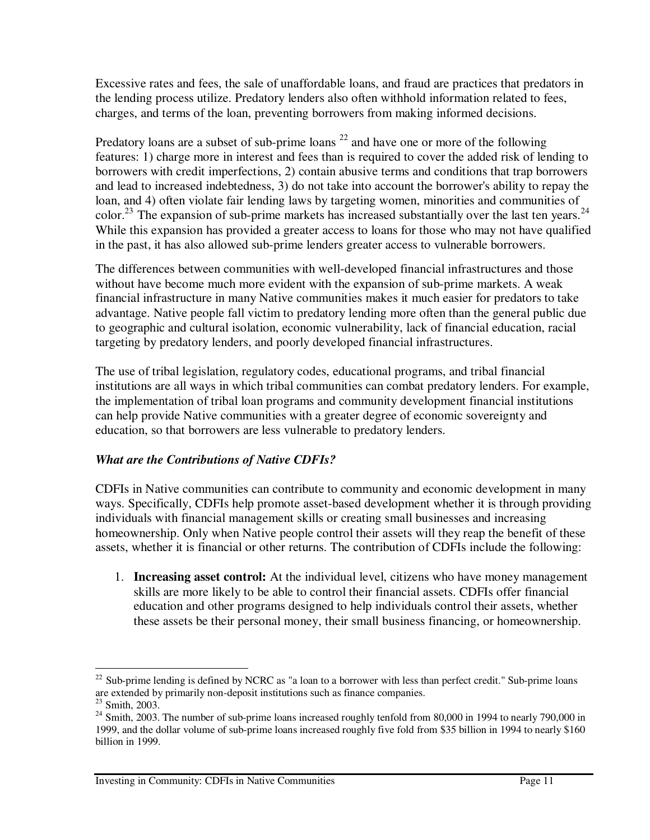Excessive rates and fees, the sale of unaffordable loans, and fraud are practices that predators in the lending process utilize. Predatory lenders also often withhold information related to fees, charges, and terms of the loan, preventing borrowers from making informed decisions.

Predatory loans are a subset of sub-prime loans<sup>22</sup> and have one or more of the following features: 1) charge more in interest and fees than is required to cover the added risk of lending to borrowers with credit imperfections, 2) contain abusive terms and conditions that trap borrowers and lead to increased indebtedness, 3) do not take into account the borrower's ability to repay the loan, and 4) often violate fair lending laws by targeting women, minorities and communities of color.<sup>23</sup> The expansion of sub-prime markets has increased substantially over the last ten years.<sup>24</sup> While this expansion has provided a greater access to loans for those who may not have qualified in the past, it has also allowed sub-prime lenders greater access to vulnerable borrowers.

The differences between communities with well-developed financial infrastructures and those without have become much more evident with the expansion of sub-prime markets. A weak financial infrastructure in many Native communities makes it much easier for predators to take advantage. Native people fall victim to predatory lending more often than the general public due to geographic and cultural isolation, economic vulnerability, lack of financial education, racial targeting by predatory lenders, and poorly developed financial infrastructures.

The use of tribal legislation, regulatory codes, educational programs, and tribal financial institutions are all ways in which tribal communities can combat predatory lenders. For example, the implementation of tribal loan programs and community development financial institutions can help provide Native communities with a greater degree of economic sovereignty and education, so that borrowers are less vulnerable to predatory lenders.

#### *What are the Contributions of Native CDFIs?*

CDFIs in Native communities can contribute to community and economic development in many ways. Specifically, CDFIs help promote asset-based development whether it is through providing individuals with financial management skills or creating small businesses and increasing homeownership. Only when Native people control their assets will they reap the benefit of these assets, whether it is financial or other returns. The contribution of CDFIs include the following:

1. **Increasing asset control:** At the individual level, citizens who have money management skills are more likely to be able to control their financial assets. CDFIs offer financial education and other programs designed to help individuals control their assets, whether these assets be their personal money, their small business financing, or homeownership.

 $22$  Sub-prime lending is defined by NCRC as "a loan to a borrower with less than perfect credit." Sub-prime loans are extended by primarily non-deposit institutions such as finance companies.

<sup>23</sup> Smith, 2003.

 $24$  Smith, 2003. The number of sub-prime loans increased roughly tenfold from 80,000 in 1994 to nearly 790,000 in 1999, and the dollar volume of sub-prime loans increased roughly five fold from \$35 billion in 1994 to nearly \$160 billion in 1999.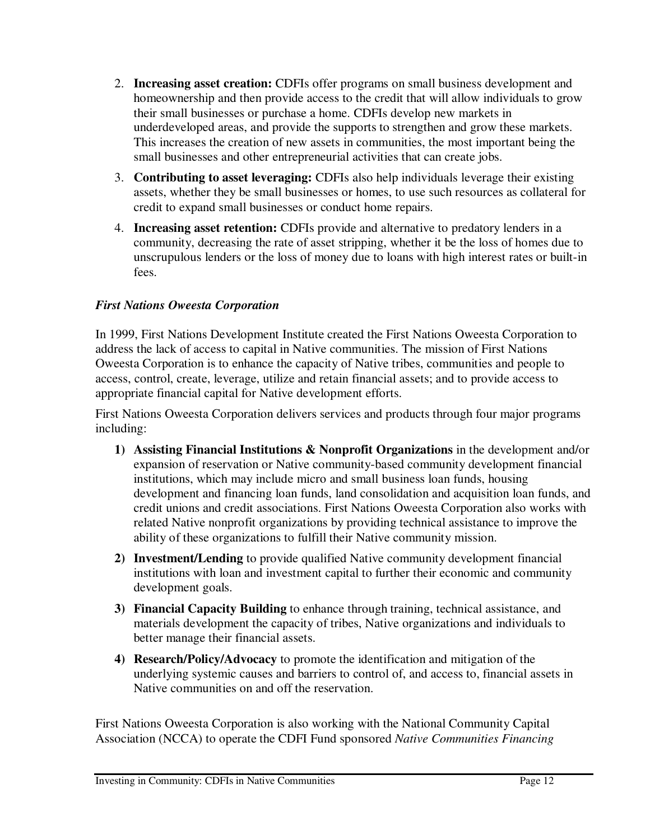- 2. **Increasing asset creation:** CDFIs offer programs on small business development and homeownership and then provide access to the credit that will allow individuals to grow their small businesses or purchase a home. CDFIs develop new markets in underdeveloped areas, and provide the supports to strengthen and grow these markets. This increases the creation of new assets in communities, the most important being the small businesses and other entrepreneurial activities that can create jobs.
- 3. **Contributing to asset leveraging:** CDFIs also help individuals leverage their existing assets, whether they be small businesses or homes, to use such resources as collateral for credit to expand small businesses or conduct home repairs.
- 4. **Increasing asset retention:** CDFIs provide and alternative to predatory lenders in a community, decreasing the rate of asset stripping, whether it be the loss of homes due to unscrupulous lenders or the loss of money due to loans with high interest rates or built-in fees.

#### *First Nations Oweesta Corporation*

In 1999, First Nations Development Institute created the First Nations Oweesta Corporation to address the lack of access to capital in Native communities. The mission of First Nations Oweesta Corporation is to enhance the capacity of Native tribes, communities and people to access, control, create, leverage, utilize and retain financial assets; and to provide access to appropriate financial capital for Native development efforts.

First Nations Oweesta Corporation delivers services and products through four major programs including:

- **1) Assisting Financial Institutions & Nonprofit Organizations** in the development and/or expansion of reservation or Native community-based community development financial institutions, which may include micro and small business loan funds, housing development and financing loan funds, land consolidation and acquisition loan funds, and credit unions and credit associations. First Nations Oweesta Corporation also works with related Native nonprofit organizations by providing technical assistance to improve the ability of these organizations to fulfill their Native community mission.
- **2) Investment/Lending** to provide qualified Native community development financial institutions with loan and investment capital to further their economic and community development goals.
- **3) Financial Capacity Building** to enhance through training, technical assistance, and materials development the capacity of tribes, Native organizations and individuals to better manage their financial assets.
- **4) Research/Policy/Advocacy** to promote the identification and mitigation of the underlying systemic causes and barriers to control of, and access to, financial assets in Native communities on and off the reservation.

First Nations Oweesta Corporation is also working with the National Community Capital Association (NCCA) to operate the CDFI Fund sponsored *Native Communities Financing*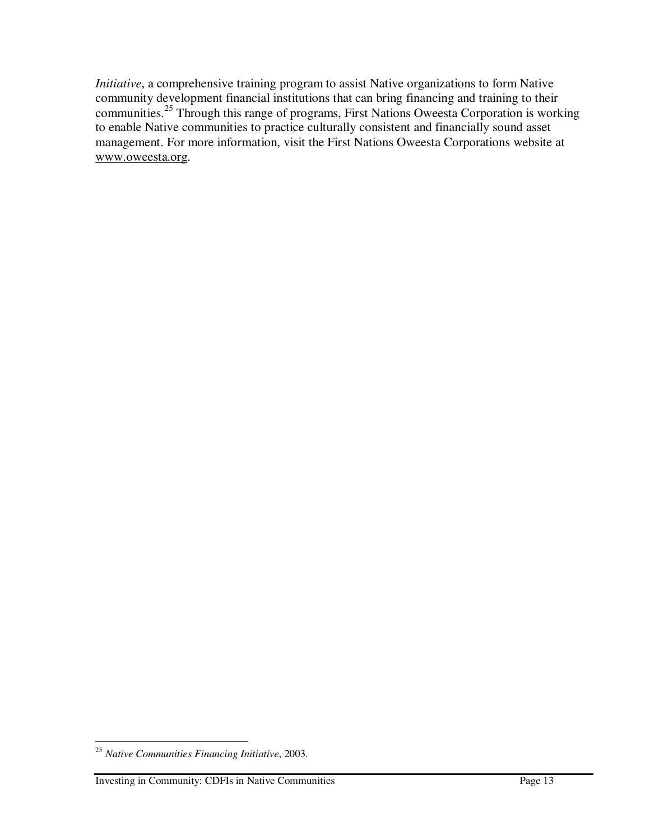*Initiative*, a comprehensive training program to assist Native organizations to form Native community development financial institutions that can bring financing and training to their communities.<sup>25</sup> Through this range of programs, First Nations Oweesta Corporation is working to enable Native communities to practice culturally consistent and financially sound asset management. For more information, visit the First Nations Oweesta Corporations website at www.oweesta.org.

<sup>25</sup> *Native Communities Financing Initiative*, 2003.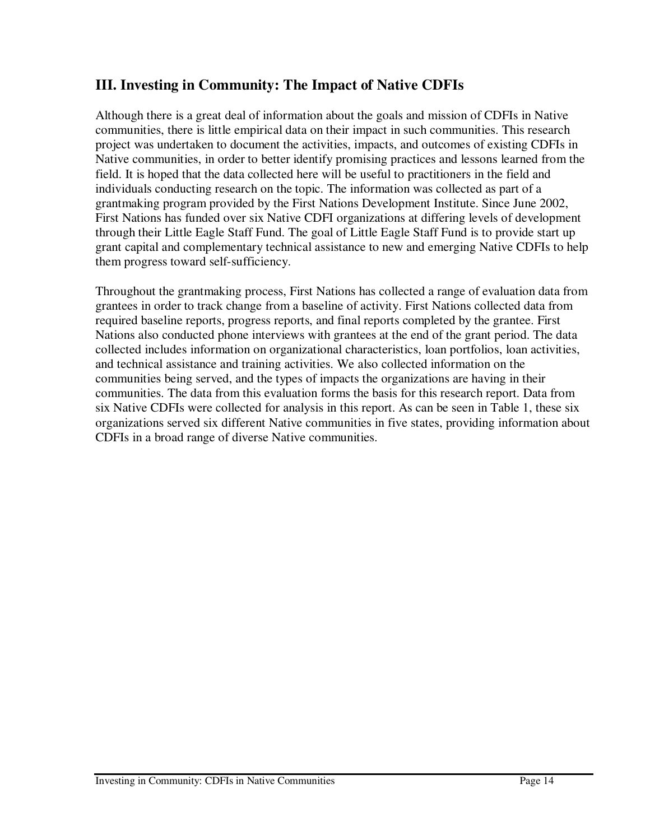## **III. Investing in Community: The Impact of Native CDFIs**

Although there is a great deal of information about the goals and mission of CDFIs in Native communities, there is little empirical data on their impact in such communities. This research project was undertaken to document the activities, impacts, and outcomes of existing CDFIs in Native communities, in order to better identify promising practices and lessons learned from the field. It is hoped that the data collected here will be useful to practitioners in the field and individuals conducting research on the topic. The information was collected as part of a grantmaking program provided by the First Nations Development Institute. Since June 2002, First Nations has funded over six Native CDFI organizations at differing levels of development through their Little Eagle Staff Fund. The goal of Little Eagle Staff Fund is to provide start up grant capital and complementary technical assistance to new and emerging Native CDFIs to help them progress toward self-sufficiency.

Throughout the grantmaking process, First Nations has collected a range of evaluation data from grantees in order to track change from a baseline of activity. First Nations collected data from required baseline reports, progress reports, and final reports completed by the grantee. First Nations also conducted phone interviews with grantees at the end of the grant period. The data collected includes information on organizational characteristics, loan portfolios, loan activities, and technical assistance and training activities. We also collected information on the communities being served, and the types of impacts the organizations are having in their communities. The data from this evaluation forms the basis for this research report. Data from six Native CDFIs were collected for analysis in this report. As can be seen in Table 1, these six organizations served six different Native communities in five states, providing information about CDFIs in a broad range of diverse Native communities.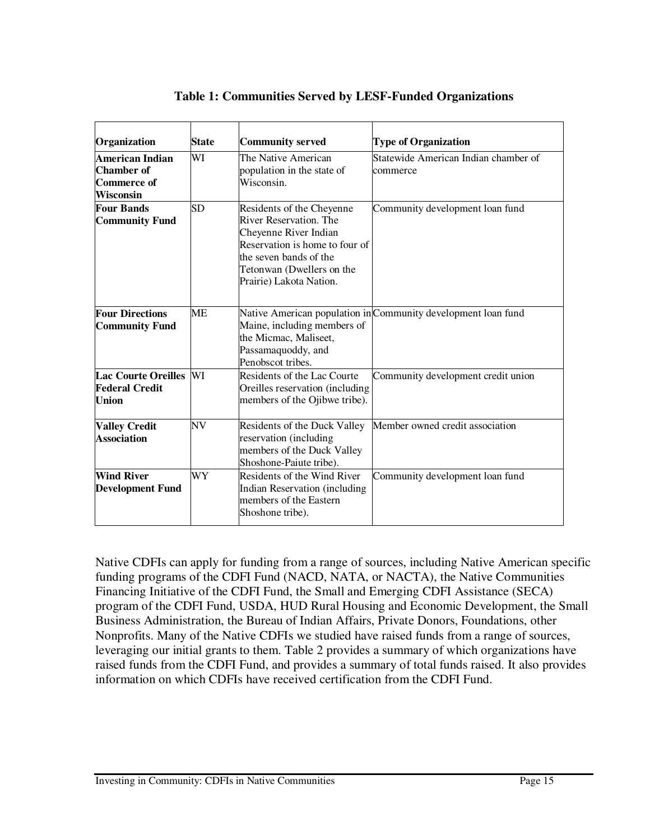| Organization                                                                   | <b>State</b> | <b>Community served</b>                                                                                                                                                                          | <b>Type of Organization</b>                                   |
|--------------------------------------------------------------------------------|--------------|--------------------------------------------------------------------------------------------------------------------------------------------------------------------------------------------------|---------------------------------------------------------------|
| <b>American Indian</b><br><b>Chamber of</b><br>Commerce of<br><b>Wisconsin</b> | WI           | The Native American<br>population in the state of<br>Wisconsin.                                                                                                                                  | Statewide American Indian chamber of<br>commerce              |
| <b>Four Bands</b><br><b>Community Fund</b>                                     | SD           | Residents of the Cheyenne<br>River Reservation. The<br>Cheyenne River Indian<br>Reservation is home to four of<br>the seven bands of the<br>Tetonwan (Dwellers on the<br>Prairie) Lakota Nation. | Community development loan fund                               |
| <b>Four Directions</b><br><b>Community Fund</b>                                | <b>ME</b>    | Maine, including members of<br>the Micmac, Maliseet,<br>Passamaquoddy, and<br>Penobscot tribes.                                                                                                  | Native American population in Community development loan fund |
| Lac Courte Oreilles WI<br><b>Federal Credit</b><br><b>Union</b>                |              | Residents of the Lac Courte<br>Oreilles reservation (including<br>members of the Ojibwe tribe).                                                                                                  | Community development credit union                            |
| <b>Valley Credit</b><br><b>Association</b>                                     | NV           | Residents of the Duck Valley<br>reservation (including<br>members of the Duck Valley<br>Shoshone-Paiute tribe).                                                                                  | Member owned credit association                               |
| <b>Wind River</b><br><b>Development Fund</b>                                   | WY           | Residents of the Wind River<br>Indian Reservation (including<br>members of the Eastern<br>Shoshone tribe).                                                                                       | Community development loan fund                               |

#### **Table 1: Communities Served by LESF-Funded Organizations**

Native CDFIs can apply for funding from a range of sources, including Native American specific funding programs of the CDFI Fund (NACD, NATA, or NACTA), the Native Communities Financing Initiative of the CDFI Fund, the Small and Emerging CDFI Assistance (SECA) program of the CDFI Fund, USDA, HUD Rural Housing and Economic Development, the Small Business Administration, the Bureau of Indian Affairs, Private Donors, Foundations, other Nonprofits. Many of the Native CDFIs we studied have raised funds from a range of sources, leveraging our initial grants to them. Table 2 provides a summary of which organizations have raised funds from the CDFI Fund, and provides a summary of total funds raised. It also provides information on which CDFIs have received certification from the CDFI Fund.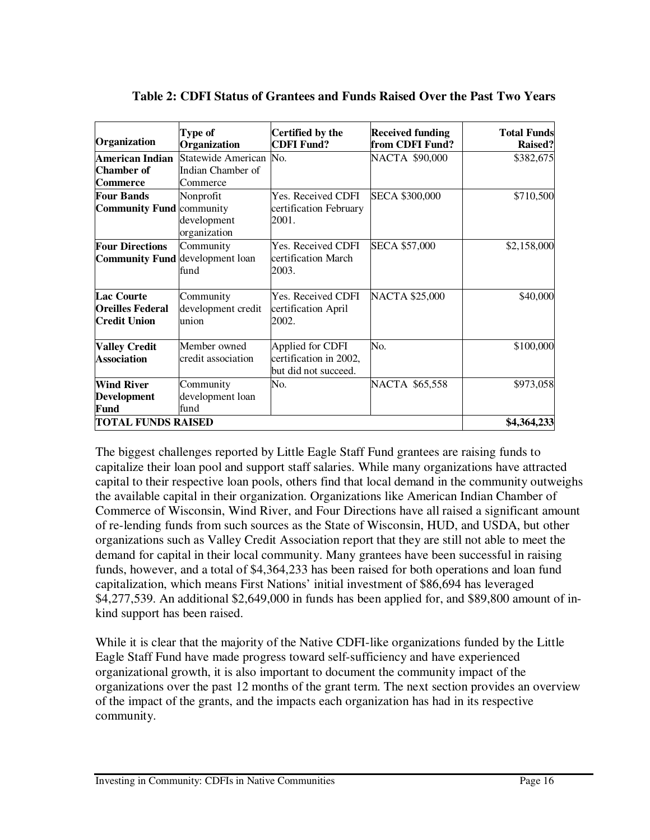| Organization                                                        | Type of<br>Organization                  | Certified by the<br><b>CDFI Fund?</b>                              | <b>Received funding</b><br>from CDFI Fund? | <b>Total Funds</b><br><b>Raised?</b> |
|---------------------------------------------------------------------|------------------------------------------|--------------------------------------------------------------------|--------------------------------------------|--------------------------------------|
| <b>American Indian</b><br><b>Chamber</b> of                         | Statewide American<br>Indian Chamber of  | No.                                                                | NACTA \$90,000                             | \$382,675                            |
| <b>Commerce</b>                                                     | Commerce                                 |                                                                    |                                            |                                      |
| <b>Four Bands</b><br><b>Community Fund community</b>                | Nonprofit                                | Yes. Received CDFI<br>certification February                       | <b>SECA \$300,000</b>                      | \$710,500                            |
|                                                                     | development<br>organization              | 2001.                                                              |                                            |                                      |
| <b>Four Directions</b><br><b>Community Fund development loan</b>    | Community<br>fund                        | Yes. Received CDFI<br>certification March<br>2003.                 | <b>SECA \$57,000</b>                       | \$2,158,000                          |
| <b>Lac Courte</b><br><b>Oreilles Federal</b><br><b>Credit Union</b> | Community<br>development credit<br>union | Yes. Received CDFI<br>certification April<br>2002.                 | <b>NACTA \$25,000</b>                      | \$40,000                             |
| <b>Valley Credit</b><br><b>Association</b>                          | Member owned<br>credit association       | Applied for CDFI<br>certification in 2002,<br>but did not succeed. | No.                                        | \$100,000                            |
| <b>Wind River</b><br><b>Development</b><br>Fund                     | Community<br>development loan<br>fund    | No.                                                                | NACTA \$65,558                             | \$973,058                            |
| <b>TOTAL FUNDS RAISED</b>                                           |                                          |                                                                    |                                            | \$4,364,233                          |

| Table 2: CDFI Status of Grantees and Funds Raised Over the Past Two Years |  |  |
|---------------------------------------------------------------------------|--|--|
|---------------------------------------------------------------------------|--|--|

The biggest challenges reported by Little Eagle Staff Fund grantees are raising funds to capitalize their loan pool and support staff salaries. While many organizations have attracted capital to their respective loan pools, others find that local demand in the community outweighs the available capital in their organization. Organizations like American Indian Chamber of Commerce of Wisconsin, Wind River, and Four Directions have all raised a significant amount of re-lending funds from such sources as the State of Wisconsin, HUD, and USDA, but other organizations such as Valley Credit Association report that they are still not able to meet the demand for capital in their local community. Many grantees have been successful in raising funds, however, and a total of \$4,364,233 has been raised for both operations and loan fund capitalization, which means First Nations' initial investment of \$86,694 has leveraged \$4,277,539. An additional \$2,649,000 in funds has been applied for, and \$89,800 amount of inkind support has been raised.

While it is clear that the majority of the Native CDFI-like organizations funded by the Little Eagle Staff Fund have made progress toward self-sufficiency and have experienced organizational growth, it is also important to document the community impact of the organizations over the past 12 months of the grant term. The next section provides an overview of the impact of the grants, and the impacts each organization has had in its respective community.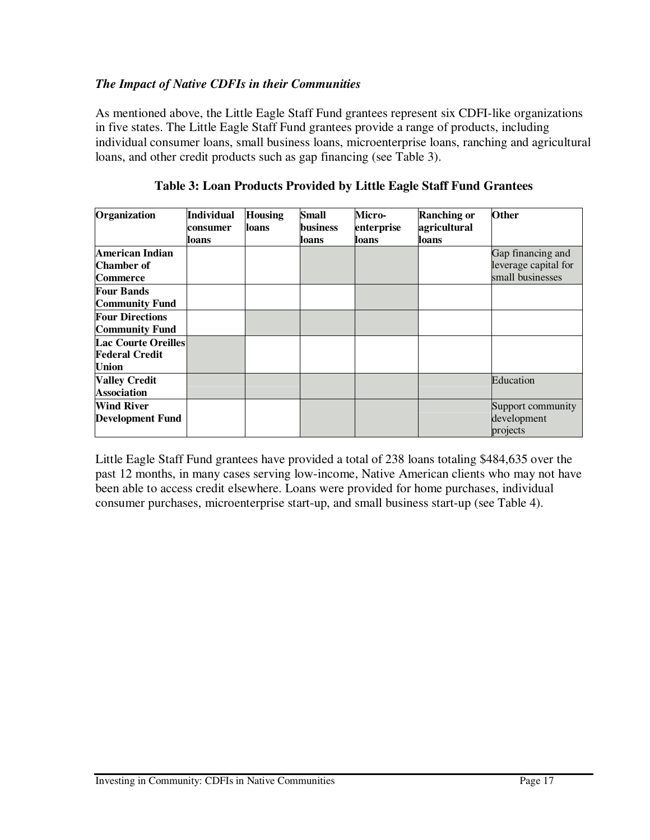#### *The Impact of Native CDFIs in their Communities*

As mentioned above, the Little Eagle Staff Fund grantees represent six CDFI-like organizations in five states. The Little Eagle Staff Fund grantees provide a range of products, including individual consumer loans, small business loans, microenterprise loans, ranching and agricultural loans, and other credit products such as gap financing (see Table 3).

| Organization               | <b>Individual</b> | <b>Housing</b> | <b>Small</b>    | Micro-     | <b>Ranching or</b> | <b>Other</b>         |
|----------------------------|-------------------|----------------|-----------------|------------|--------------------|----------------------|
|                            | consumer          | loans          | <b>business</b> | enterprise | agricultural       |                      |
|                            | loans             |                | loans           | loans      | loans              |                      |
| American Indian            |                   |                |                 |            |                    | Gap financing and    |
| Chamber of                 |                   |                |                 |            |                    | leverage capital for |
| <b>Commerce</b>            |                   |                |                 |            |                    | small businesses     |
| <b>Four Bands</b>          |                   |                |                 |            |                    |                      |
| <b>Community Fund</b>      |                   |                |                 |            |                    |                      |
| <b>Four Directions</b>     |                   |                |                 |            |                    |                      |
| <b>Community Fund</b>      |                   |                |                 |            |                    |                      |
| <b>Lac Courte Oreilles</b> |                   |                |                 |            |                    |                      |
| <b>Federal Credit</b>      |                   |                |                 |            |                    |                      |
| <b>Union</b>               |                   |                |                 |            |                    |                      |
| <b>Valley Credit</b>       |                   |                |                 |            |                    | Education            |
| <b>Association</b>         |                   |                |                 |            |                    |                      |
| <b>Wind River</b>          |                   |                |                 |            |                    | Support community    |
| <b>Development Fund</b>    |                   |                |                 |            |                    | development          |
|                            |                   |                |                 |            |                    | projects             |

#### **Table 3: Loan Products Provided by Little Eagle Staff Fund Grantees**

Little Eagle Staff Fund grantees have provided a total of 238 loans totaling \$484,635 over the past 12 months, in many cases serving low-income, Native American clients who may not have been able to access credit elsewhere. Loans were provided for home purchases, individual consumer purchases, microenterprise start-up, and small business start-up (see Table 4).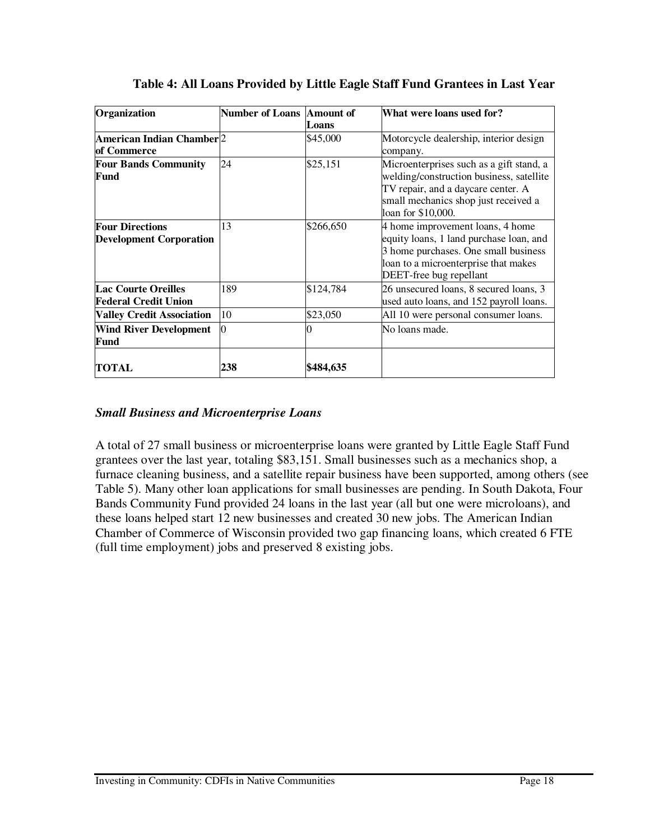| Organization                                              | <b>Number of Loans Amount of</b> | Loans     | What were loans used for?                                                                                                                                                                |
|-----------------------------------------------------------|----------------------------------|-----------|------------------------------------------------------------------------------------------------------------------------------------------------------------------------------------------|
| American Indian Chamber 2<br>of Commerce                  |                                  | \$45,000  | Motorcycle dealership, interior design<br>company.                                                                                                                                       |
| <b>Four Bands Community</b><br>Fund                       | 24                               | \$25,151  | Microenterprises such as a gift stand, a<br>welding/construction business, satellite<br>TV repair, and a daycare center. A<br>small mechanics shop just received a<br>loan for \$10,000. |
| <b>Four Directions</b><br><b>Development Corporation</b>  | 13                               | \$266,650 | 4 home improvement loans, 4 home<br>equity loans, 1 land purchase loan, and<br>3 home purchases. One small business<br>loan to a microenterprise that makes<br>DEET-free bug repellant   |
| <b>Lac Courte Oreilles</b><br><b>Federal Credit Union</b> | 189                              | \$124,784 | 26 unsecured loans, 8 secured loans, 3<br>used auto loans, and 152 payroll loans.                                                                                                        |
| <b>Valley Credit Association</b>                          | 10                               | \$23,050  | All 10 were personal consumer loans.                                                                                                                                                     |
| <b>Wind River Development</b><br>Fund                     | 0                                |           | No loans made.                                                                                                                                                                           |
| <b>TOTAL</b>                                              | 238                              | \$484,635 |                                                                                                                                                                                          |

#### **Table 4: All Loans Provided by Little Eagle Staff Fund Grantees in Last Year**

#### *Small Business and Microenterprise Loans*

A total of 27 small business or microenterprise loans were granted by Little Eagle Staff Fund grantees over the last year, totaling \$83,151. Small businesses such as a mechanics shop, a furnace cleaning business, and a satellite repair business have been supported, among others (see Table 5). Many other loan applications for small businesses are pending. In South Dakota, Four Bands Community Fund provided 24 loans in the last year (all but one were microloans), and these loans helped start 12 new businesses and created 30 new jobs. The American Indian Chamber of Commerce of Wisconsin provided two gap financing loans, which created 6 FTE (full time employment) jobs and preserved 8 existing jobs.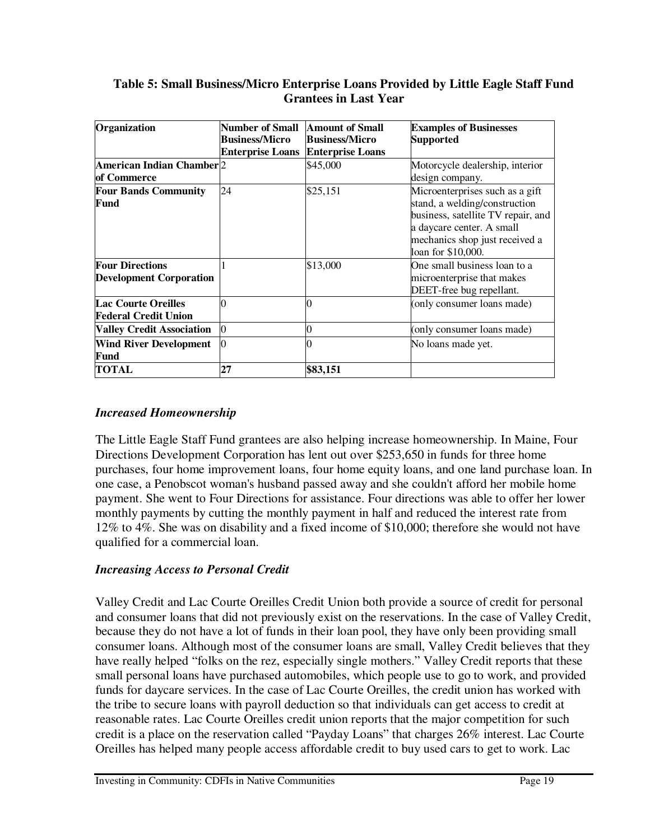#### **Table 5: Small Business/Micro Enterprise Loans Provided by Little Eagle Staff Fund Grantees in Last Year**

| Organization                                              | Number of Small<br><b>Business/Micro</b><br><b>Enterprise Loans</b> | <b>Amount of Small</b><br><b>Business/Micro</b><br><b>Enterprise Loans</b> | <b>Examples of Businesses</b><br>Supported                                                                                                                                                  |
|-----------------------------------------------------------|---------------------------------------------------------------------|----------------------------------------------------------------------------|---------------------------------------------------------------------------------------------------------------------------------------------------------------------------------------------|
| American Indian Chamber 2<br><b>of Commerce</b>           |                                                                     | \$45,000                                                                   | Motorcycle dealership, interior<br>design company.                                                                                                                                          |
| <b>Four Bands Community</b><br>Fund                       | 24                                                                  | \$25,151                                                                   | Microenterprises such as a gift<br>stand, a welding/construction<br>business, satellite TV repair, and<br>a daycare center. A small<br>mechanics shop just received a<br>loan for \$10,000. |
| <b>Four Directions</b><br><b>Development Corporation</b>  |                                                                     | \$13,000                                                                   | One small business loan to a<br>microenterprise that makes<br>DEET-free bug repellant.                                                                                                      |
| <b>Lac Courte Oreilles</b><br><b>Federal Credit Union</b> |                                                                     |                                                                            | (only consumer loans made)                                                                                                                                                                  |
| <b>Valley Credit Association</b>                          | $\overline{0}$                                                      |                                                                            | (only consumer loans made)                                                                                                                                                                  |
| <b>Wind River Development</b><br>Fund                     | 0                                                                   |                                                                            | No loans made yet.                                                                                                                                                                          |
| <b>TOTAL</b>                                              | 27                                                                  | \$83,151                                                                   |                                                                                                                                                                                             |

#### *Increased Homeownership*

The Little Eagle Staff Fund grantees are also helping increase homeownership. In Maine, Four Directions Development Corporation has lent out over \$253,650 in funds for three home purchases, four home improvement loans, four home equity loans, and one land purchase loan. In one case, a Penobscot woman's husband passed away and she couldn't afford her mobile home payment. She went to Four Directions for assistance. Four directions was able to offer her lower monthly payments by cutting the monthly payment in half and reduced the interest rate from 12% to 4%. She was on disability and a fixed income of \$10,000; therefore she would not have qualified for a commercial loan.

#### *Increasing Access to Personal Credit*

Valley Credit and Lac Courte Oreilles Credit Union both provide a source of credit for personal and consumer loans that did not previously exist on the reservations. In the case of Valley Credit, because they do not have a lot of funds in their loan pool, they have only been providing small consumer loans. Although most of the consumer loans are small, Valley Credit believes that they have really helped "folks on the rez, especially single mothers." Valley Credit reports that these small personal loans have purchased automobiles, which people use to go to work, and provided funds for daycare services. In the case of Lac Courte Oreilles, the credit union has worked with the tribe to secure loans with payroll deduction so that individuals can get access to credit at reasonable rates. Lac Courte Oreilles credit union reports that the major competition for such credit is a place on the reservation called "Payday Loans" that charges 26% interest. Lac Courte Oreilles has helped many people access affordable credit to buy used cars to get to work. Lac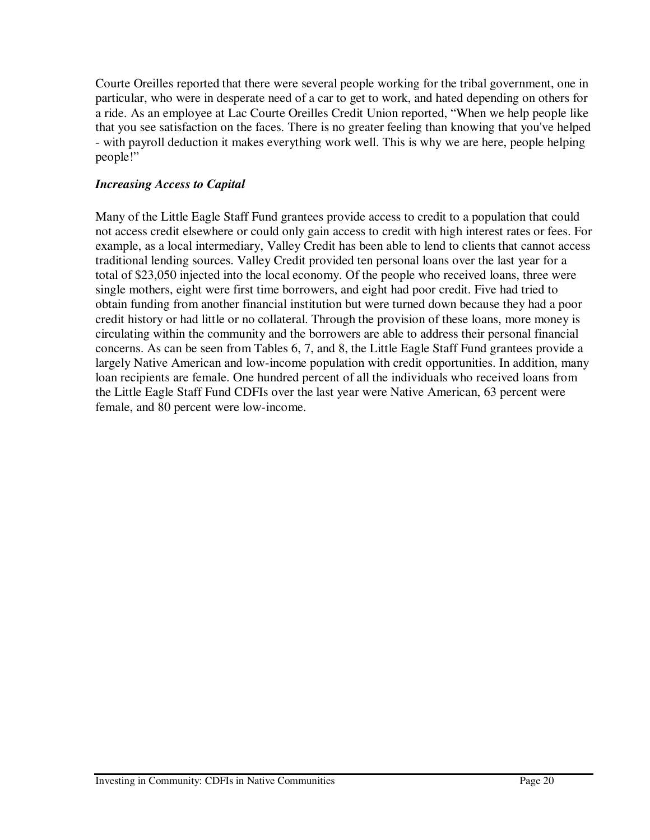Courte Oreilles reported that there were several people working for the tribal government, one in particular, who were in desperate need of a car to get to work, and hated depending on others for a ride. As an employee at Lac Courte Oreilles Credit Union reported, "When we help people like that you see satisfaction on the faces. There is no greater feeling than knowing that you've helped - with payroll deduction it makes everything work well. This is why we are here, people helping people!"

#### *Increasing Access to Capital*

Many of the Little Eagle Staff Fund grantees provide access to credit to a population that could not access credit elsewhere or could only gain access to credit with high interest rates or fees. For example, as a local intermediary, Valley Credit has been able to lend to clients that cannot access traditional lending sources. Valley Credit provided ten personal loans over the last year for a total of \$23,050 injected into the local economy. Of the people who received loans, three were single mothers, eight were first time borrowers, and eight had poor credit. Five had tried to obtain funding from another financial institution but were turned down because they had a poor credit history or had little or no collateral. Through the provision of these loans, more money is circulating within the community and the borrowers are able to address their personal financial concerns. As can be seen from Tables 6, 7, and 8, the Little Eagle Staff Fund grantees provide a largely Native American and low-income population with credit opportunities. In addition, many loan recipients are female. One hundred percent of all the individuals who received loans from the Little Eagle Staff Fund CDFIs over the last year were Native American, 63 percent were female, and 80 percent were low-income.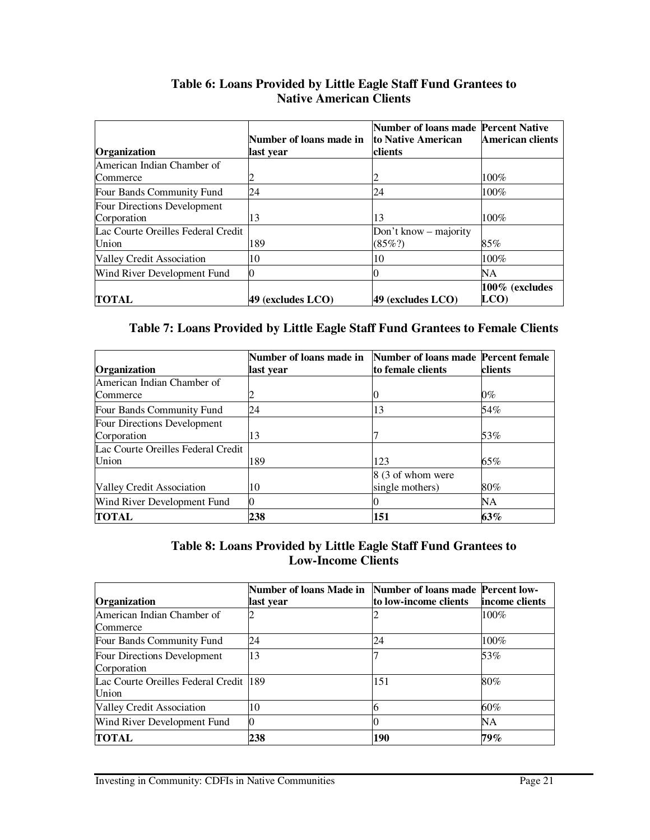| Organization                                | Number of loans made in<br>last year | <b>Number of loans made Percent Native</b><br>to Native American<br>clients | American clients          |
|---------------------------------------------|--------------------------------------|-----------------------------------------------------------------------------|---------------------------|
| American Indian Chamber of<br>Commerce      |                                      |                                                                             | $100\%$                   |
| Four Bands Community Fund                   | 24                                   | 24                                                                          | 100%                      |
| Four Directions Development<br>Corporation  | 13                                   | 13                                                                          | 100%                      |
| Lac Courte Oreilles Federal Credit<br>Union | 189                                  | Don't know – majority<br>$(85\%)$                                           | 85%                       |
| Valley Credit Association                   | 10                                   | 10                                                                          | 100%                      |
| Wind River Development Fund                 |                                      |                                                                             | NΑ                        |
| TOTAL                                       | 49 (excludes LCO)                    | 49 (excludes LCO)                                                           | $100\%$ (excludes<br>LCO) |

#### **Table 6: Loans Provided by Little Eagle Staff Fund Grantees to Native American Clients**

#### **Table 7: Loans Provided by Little Eagle Staff Fund Grantees to Female Clients**

|                                    | Number of loans made in Number of loans made Percent female |                   |         |
|------------------------------------|-------------------------------------------------------------|-------------------|---------|
| Organization                       | last year                                                   | to female clients | clients |
| American Indian Chamber of         |                                                             |                   |         |
| Commerce                           |                                                             |                   | $0\%$   |
| Four Bands Community Fund          | 24                                                          | 13                | 54%     |
| Four Directions Development        |                                                             |                   |         |
| Corporation                        | 13                                                          |                   | 53%     |
| Lac Courte Oreilles Federal Credit |                                                             |                   |         |
| Union                              | 189                                                         | 123               | 65%     |
|                                    |                                                             | 8 (3 of whom were |         |
| Valley Credit Association          | 10                                                          | single mothers)   | 80%     |
| Wind River Development Fund        | 0                                                           |                   | NΑ      |
| <b>TOTAL</b>                       | 238                                                         | 151               | 63%     |

#### **Table 8: Loans Provided by Little Eagle Staff Fund Grantees to Low-Income Clients**

|                                         | Number of loans Made in Number of loans made Percent low- |                       |                 |
|-----------------------------------------|-----------------------------------------------------------|-----------------------|-----------------|
| Organization                            | last year                                                 | to low-income clients | lincome clients |
| American Indian Chamber of              |                                                           |                       | $100\%$         |
| Commerce                                |                                                           |                       |                 |
| Four Bands Community Fund               | 24                                                        | 24                    | 100%            |
| Four Directions Development             | 13                                                        |                       | 53%             |
| Corporation                             |                                                           |                       |                 |
| Lac Courte Oreilles Federal Credit  189 |                                                           | 151                   | 80%             |
| Union                                   |                                                           |                       |                 |
| Valley Credit Association               | 10                                                        |                       | 60%             |
| Wind River Development Fund             |                                                           |                       | NΑ              |
| <b>TOTAL</b>                            | 238                                                       | 190                   | 79%             |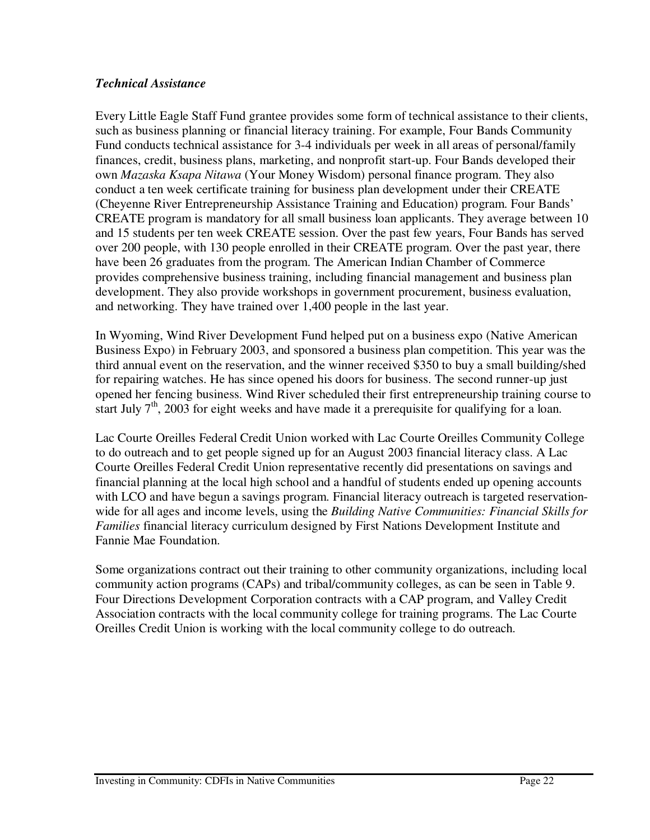#### *Technical Assistance*

Every Little Eagle Staff Fund grantee provides some form of technical assistance to their clients, such as business planning or financial literacy training. For example, Four Bands Community Fund conducts technical assistance for 3-4 individuals per week in all areas of personal/family finances, credit, business plans, marketing, and nonprofit start-up. Four Bands developed their own *Mazaska Ksapa Nitawa* (Your Money Wisdom) personal finance program. They also conduct a ten week certificate training for business plan development under their CREATE (Cheyenne River Entrepreneurship Assistance Training and Education) program. Four Bands' CREATE program is mandatory for all small business loan applicants. They average between 10 and 15 students per ten week CREATE session. Over the past few years, Four Bands has served over 200 people, with 130 people enrolled in their CREATE program. Over the past year, there have been 26 graduates from the program. The American Indian Chamber of Commerce provides comprehensive business training, including financial management and business plan development. They also provide workshops in government procurement, business evaluation, and networking. They have trained over 1,400 people in the last year.

In Wyoming, Wind River Development Fund helped put on a business expo (Native American Business Expo) in February 2003, and sponsored a business plan competition. This year was the third annual event on the reservation, and the winner received \$350 to buy a small building/shed for repairing watches. He has since opened his doors for business. The second runner-up just opened her fencing business. Wind River scheduled their first entrepreneurship training course to start July  $7<sup>th</sup>$ , 2003 for eight weeks and have made it a prerequisite for qualifying for a loan.

Lac Courte Oreilles Federal Credit Union worked with Lac Courte Oreilles Community College to do outreach and to get people signed up for an August 2003 financial literacy class. A Lac Courte Oreilles Federal Credit Union representative recently did presentations on savings and financial planning at the local high school and a handful of students ended up opening accounts with LCO and have begun a savings program. Financial literacy outreach is targeted reservationwide for all ages and income levels, using the *Building Native Communities: Financial Skills for Families* financial literacy curriculum designed by First Nations Development Institute and Fannie Mae Foundation.

Some organizations contract out their training to other community organizations, including local community action programs (CAPs) and tribal/community colleges, as can be seen in Table 9. Four Directions Development Corporation contracts with a CAP program, and Valley Credit Association contracts with the local community college for training programs. The Lac Courte Oreilles Credit Union is working with the local community college to do outreach.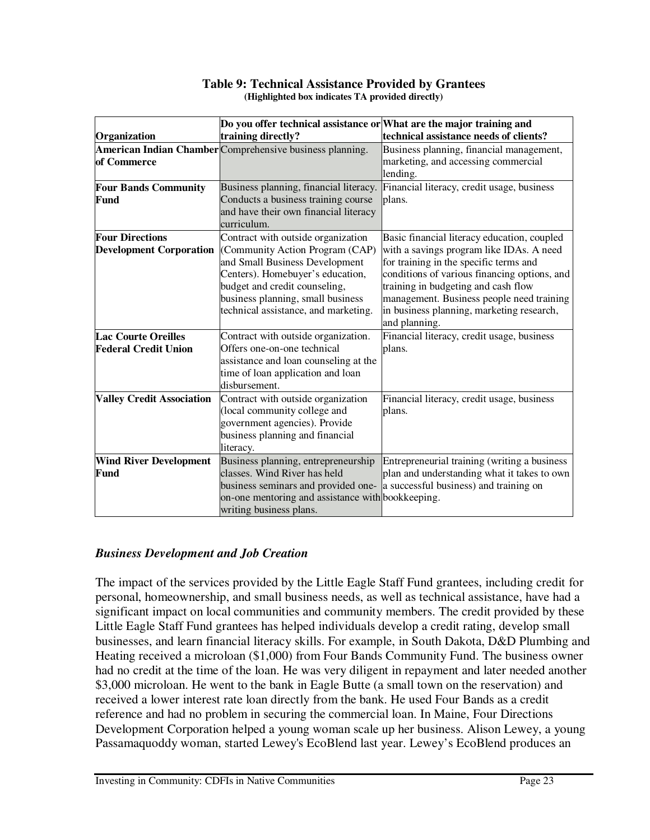| Organization                                              | Do you offer technical assistance or What are the major training and<br>technical assistance needs of clients?<br>training directly?                                                                                                                      |                                                                                                                                                                                                                                                                                                                                     |  |
|-----------------------------------------------------------|-----------------------------------------------------------------------------------------------------------------------------------------------------------------------------------------------------------------------------------------------------------|-------------------------------------------------------------------------------------------------------------------------------------------------------------------------------------------------------------------------------------------------------------------------------------------------------------------------------------|--|
| of Commerce                                               | American Indian Chamber Comprehensive business planning.                                                                                                                                                                                                  | Business planning, financial management,<br>marketing, and accessing commercial<br>lending.                                                                                                                                                                                                                                         |  |
| <b>Four Bands Community</b><br>Fund                       | Financial literacy, credit usage, business<br>Business planning, financial literacy.<br>Conducts a business training course<br>plans.<br>and have their own financial literacy<br>curriculum.                                                             |                                                                                                                                                                                                                                                                                                                                     |  |
| <b>Four Directions</b><br><b>Development Corporation</b>  | Contract with outside organization<br>(Community Action Program (CAP)<br>and Small Business Development<br>Centers). Homebuyer's education,<br>budget and credit counseling,<br>business planning, small business<br>technical assistance, and marketing. | Basic financial literacy education, coupled<br>with a savings program like IDAs. A need<br>for training in the specific terms and<br>conditions of various financing options, and<br>training in budgeting and cash flow<br>management. Business people need training<br>in business planning, marketing research,<br>and planning. |  |
| <b>Lac Courte Oreilles</b><br><b>Federal Credit Union</b> | Contract with outside organization.<br>Offers one-on-one technical<br>assistance and loan counseling at the<br>time of loan application and loan<br>disbursement.                                                                                         | Financial literacy, credit usage, business<br>plans.                                                                                                                                                                                                                                                                                |  |
| <b>Valley Credit Association</b>                          | Contract with outside organization<br>(local community college and<br>government agencies). Provide<br>business planning and financial<br>literacy.                                                                                                       | Financial literacy, credit usage, business<br>plans.                                                                                                                                                                                                                                                                                |  |
| <b>Wind River Development</b><br>Fund                     | Business planning, entrepreneurship<br>classes. Wind River has held<br>on-one mentoring and assistance with bookkeeping.<br>writing business plans.                                                                                                       | Entrepreneurial training (writing a business<br>plan and understanding what it takes to own<br>business seminars and provided one- a successful business) and training on                                                                                                                                                           |  |

#### **Table 9: Technical Assistance Provided by Grantees (Highlighted box indicates TA provided directly)**

#### *Business Development and Job Creation*

The impact of the services provided by the Little Eagle Staff Fund grantees, including credit for personal, homeownership, and small business needs, as well as technical assistance, have had a significant impact on local communities and community members. The credit provided by these Little Eagle Staff Fund grantees has helped individuals develop a credit rating, develop small businesses, and learn financial literacy skills. For example, in South Dakota, D&D Plumbing and Heating received a microloan (\$1,000) from Four Bands Community Fund. The business owner had no credit at the time of the loan. He was very diligent in repayment and later needed another \$3,000 microloan. He went to the bank in Eagle Butte (a small town on the reservation) and received a lower interest rate loan directly from the bank. He used Four Bands as a credit reference and had no problem in securing the commercial loan. In Maine, Four Directions Development Corporation helped a young woman scale up her business. Alison Lewey, a young Passamaquoddy woman, started Lewey's EcoBlend last year. Lewey's EcoBlend produces an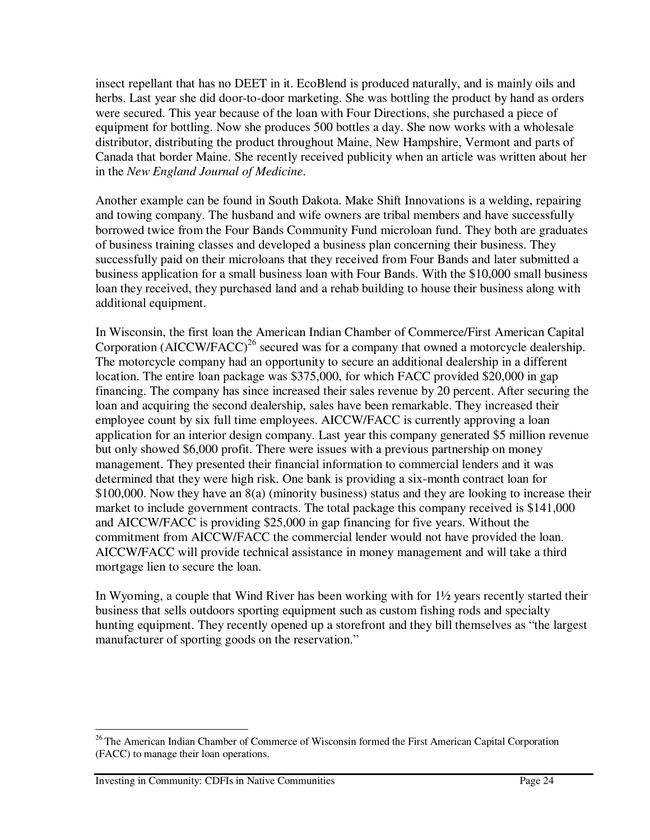insect repellant that has no DEET in it. EcoBlend is produced naturally, and is mainly oils and herbs. Last year she did door-to-door marketing. She was bottling the product by hand as orders were secured. This year because of the loan with Four Directions, she purchased a piece of equipment for bottling. Now she produces 500 bottles a day. She now works with a wholesale distributor, distributing the product throughout Maine, New Hampshire, Vermont and parts of Canada that border Maine. She recently received publicity when an article was written about her in the *New England Journal of Medicine*.

Another example can be found in South Dakota. Make Shift Innovations is a welding, repairing and towing company. The husband and wife owners are tribal members and have successfully borrowed twice from the Four Bands Community Fund microloan fund. They both are graduates of business training classes and developed a business plan concerning their business. They successfully paid on their microloans that they received from Four Bands and later submitted a business application for a small business loan with Four Bands. With the \$10,000 small business loan they received, they purchased land and a rehab building to house their business along with additional equipment.

In Wisconsin, the first loan the American Indian Chamber of Commerce/First American Capital Corporation (AICCW/FACC)<sup>26</sup> secured was for a company that owned a motorcycle dealership. The motorcycle company had an opportunity to secure an additional dealership in a different location. The entire loan package was \$375,000, for which FACC provided \$20,000 in gap financing. The company has since increased their sales revenue by 20 percent. After securing the loan and acquiring the second dealership, sales have been remarkable. They increased their employee count by six full time employees. AICCW/FACC is currently approving a loan application for an interior design company. Last year this company generated \$5 million revenue but only showed \$6,000 profit. There were issues with a previous partnership on money management. They presented their financial information to commercial lenders and it was determined that they were high risk. One bank is providing a six-month contract loan for \$100,000. Now they have an 8(a) (minority business) status and they are looking to increase their market to include government contracts. The total package this company received is \$141,000 and AICCW/FACC is providing \$25,000 in gap financing for five years. Without the commitment from AICCW/FACC the commercial lender would not have provided the loan. AICCW/FACC will provide technical assistance in money management and will take a third mortgage lien to secure the loan.

In Wyoming, a couple that Wind River has been working with for 1½ years recently started their business that sells outdoors sporting equipment such as custom fishing rods and specialty hunting equipment. They recently opened up a storefront and they bill themselves as "the largest manufacturer of sporting goods on the reservation."

<sup>&</sup>lt;sup>26</sup> The American Indian Chamber of Commerce of Wisconsin formed the First American Capital Corporation (FACC) to manage their loan operations.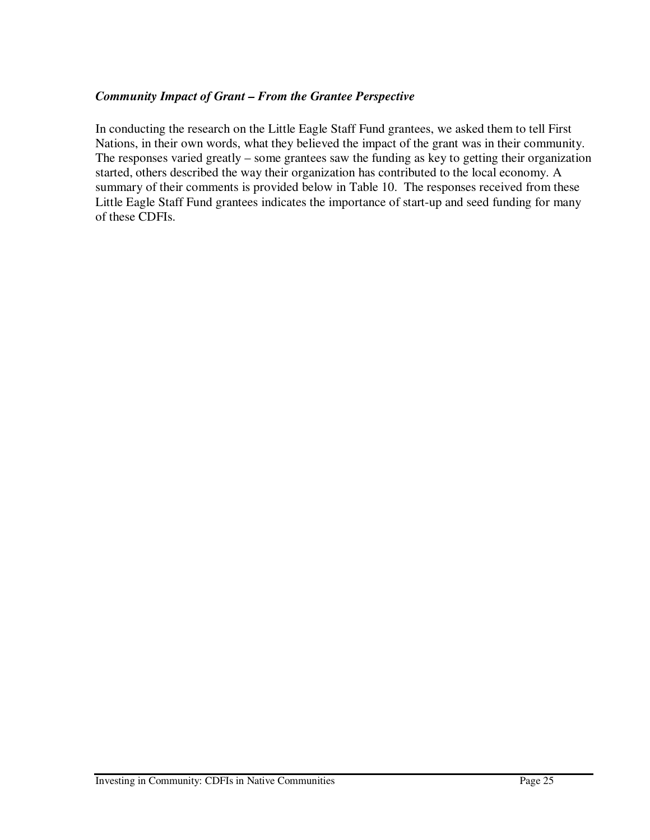#### *Community Impact of Grant – From the Grantee Perspective*

In conducting the research on the Little Eagle Staff Fund grantees, we asked them to tell First Nations, in their own words, what they believed the impact of the grant was in their community. The responses varied greatly – some grantees saw the funding as key to getting their organization started, others described the way their organization has contributed to the local economy. A summary of their comments is provided below in Table 10. The responses received from these Little Eagle Staff Fund grantees indicates the importance of start-up and seed funding for many of these CDFIs.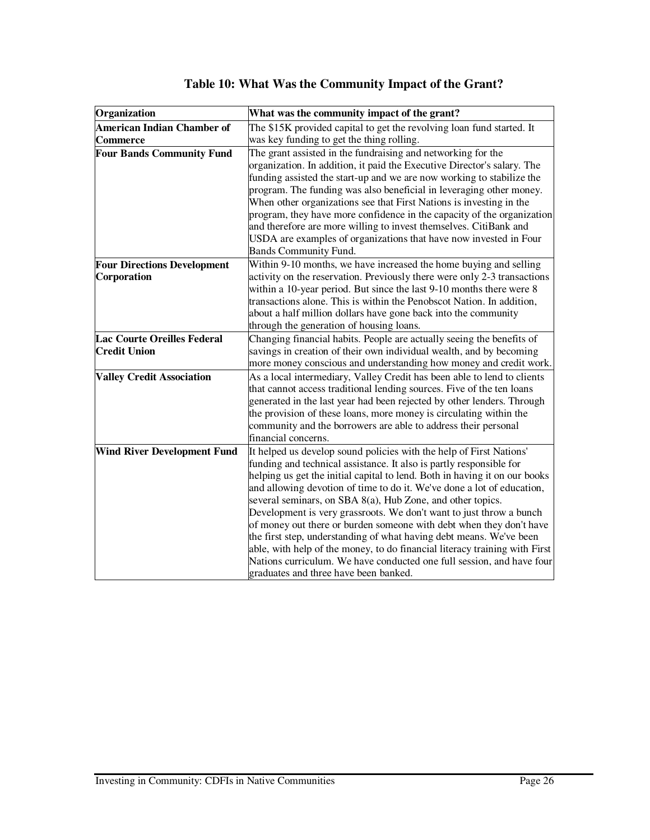| Organization                                              | What was the community impact of the grant?                                                                                                                                                                                                                                                                                                                                                                                                                                                                                                                                                                                                                                                                                                                                           |
|-----------------------------------------------------------|---------------------------------------------------------------------------------------------------------------------------------------------------------------------------------------------------------------------------------------------------------------------------------------------------------------------------------------------------------------------------------------------------------------------------------------------------------------------------------------------------------------------------------------------------------------------------------------------------------------------------------------------------------------------------------------------------------------------------------------------------------------------------------------|
| <b>American Indian Chamber of</b><br>Commerce             | The \$15K provided capital to get the revolving loan fund started. It<br>was key funding to get the thing rolling.                                                                                                                                                                                                                                                                                                                                                                                                                                                                                                                                                                                                                                                                    |
| <b>Four Bands Community Fund</b>                          | The grant assisted in the fundraising and networking for the<br>organization. In addition, it paid the Executive Director's salary. The<br>funding assisted the start-up and we are now working to stabilize the<br>program. The funding was also beneficial in leveraging other money.<br>When other organizations see that First Nations is investing in the<br>program, they have more confidence in the capacity of the organization<br>and therefore are more willing to invest themselves. CitiBank and<br>USDA are examples of organizations that have now invested in Four<br><b>Bands Community Fund.</b>                                                                                                                                                                    |
| <b>Four Directions Development</b><br>Corporation         | Within 9-10 months, we have increased the home buying and selling<br>activity on the reservation. Previously there were only 2-3 transactions<br>within a 10-year period. But since the last 9-10 months there were 8<br>transactions alone. This is within the Penobscot Nation. In addition,<br>about a half million dollars have gone back into the community<br>through the generation of housing loans.                                                                                                                                                                                                                                                                                                                                                                          |
| <b>Lac Courte Oreilles Federal</b><br><b>Credit Union</b> | Changing financial habits. People are actually seeing the benefits of<br>savings in creation of their own individual wealth, and by becoming<br>more money conscious and understanding how money and credit work.                                                                                                                                                                                                                                                                                                                                                                                                                                                                                                                                                                     |
| <b>Valley Credit Association</b>                          | As a local intermediary, Valley Credit has been able to lend to clients<br>that cannot access traditional lending sources. Five of the ten loans<br>generated in the last year had been rejected by other lenders. Through<br>the provision of these loans, more money is circulating within the<br>community and the borrowers are able to address their personal<br>financial concerns.                                                                                                                                                                                                                                                                                                                                                                                             |
| <b>Wind River Development Fund</b>                        | It helped us develop sound policies with the help of First Nations'<br>funding and technical assistance. It also is partly responsible for<br>helping us get the initial capital to lend. Both in having it on our books<br>and allowing devotion of time to do it. We've done a lot of education,<br>several seminars, on SBA 8(a), Hub Zone, and other topics.<br>Development is very grassroots. We don't want to just throw a bunch<br>of money out there or burden someone with debt when they don't have<br>the first step, understanding of what having debt means. We've been<br>able, with help of the money, to do financial literacy training with First<br>Nations curriculum. We have conducted one full session, and have four<br>graduates and three have been banked. |

## **Table 10: What Was the Community Impact of the Grant?**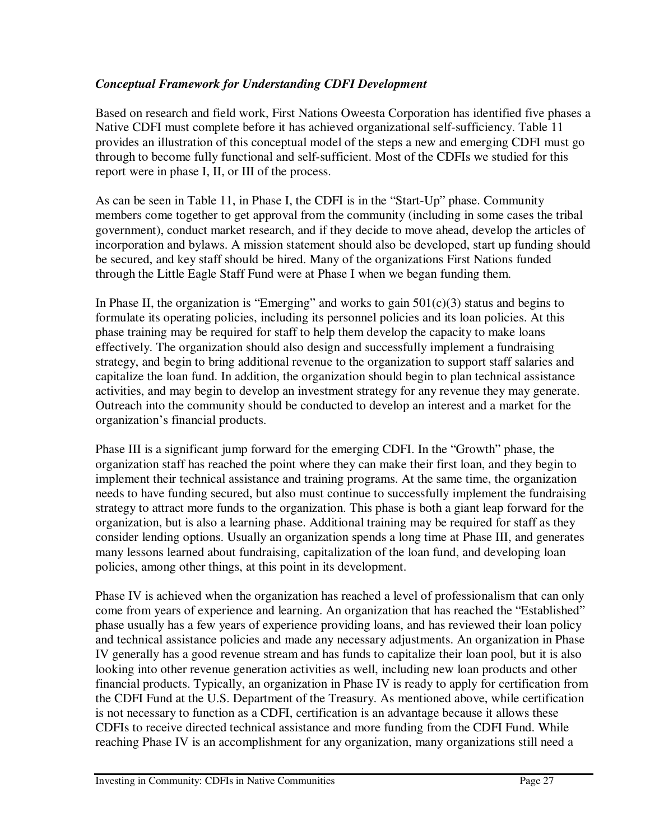#### *Conceptual Framework for Understanding CDFI Development*

Based on research and field work, First Nations Oweesta Corporation has identified five phases a Native CDFI must complete before it has achieved organizational self-sufficiency. Table 11 provides an illustration of this conceptual model of the steps a new and emerging CDFI must go through to become fully functional and self-sufficient. Most of the CDFIs we studied for this report were in phase I, II, or III of the process.

As can be seen in Table 11, in Phase I, the CDFI is in the "Start-Up" phase. Community members come together to get approval from the community (including in some cases the tribal government), conduct market research, and if they decide to move ahead, develop the articles of incorporation and bylaws. A mission statement should also be developed, start up funding should be secured, and key staff should be hired. Many of the organizations First Nations funded through the Little Eagle Staff Fund were at Phase I when we began funding them.

In Phase II, the organization is "Emerging" and works to gain  $501(c)(3)$  status and begins to formulate its operating policies, including its personnel policies and its loan policies. At this phase training may be required for staff to help them develop the capacity to make loans effectively. The organization should also design and successfully implement a fundraising strategy, and begin to bring additional revenue to the organization to support staff salaries and capitalize the loan fund. In addition, the organization should begin to plan technical assistance activities, and may begin to develop an investment strategy for any revenue they may generate. Outreach into the community should be conducted to develop an interest and a market for the organization's financial products.

Phase III is a significant jump forward for the emerging CDFI. In the "Growth" phase, the organization staff has reached the point where they can make their first loan, and they begin to implement their technical assistance and training programs. At the same time, the organization needs to have funding secured, but also must continue to successfully implement the fundraising strategy to attract more funds to the organization. This phase is both a giant leap forward for the organization, but is also a learning phase. Additional training may be required for staff as they consider lending options. Usually an organization spends a long time at Phase III, and generates many lessons learned about fundraising, capitalization of the loan fund, and developing loan policies, among other things, at this point in its development.

Phase IV is achieved when the organization has reached a level of professionalism that can only come from years of experience and learning. An organization that has reached the "Established" phase usually has a few years of experience providing loans, and has reviewed their loan policy and technical assistance policies and made any necessary adjustments. An organization in Phase IV generally has a good revenue stream and has funds to capitalize their loan pool, but it is also looking into other revenue generation activities as well, including new loan products and other financial products. Typically, an organization in Phase IV is ready to apply for certification from the CDFI Fund at the U.S. Department of the Treasury. As mentioned above, while certification is not necessary to function as a CDFI, certification is an advantage because it allows these CDFIs to receive directed technical assistance and more funding from the CDFI Fund. While reaching Phase IV is an accomplishment for any organization, many organizations still need a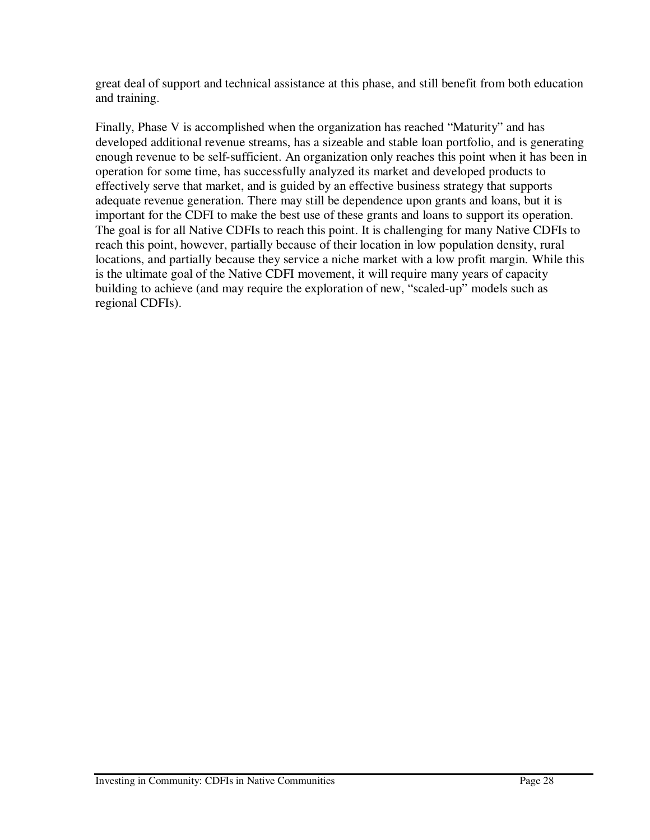great deal of support and technical assistance at this phase, and still benefit from both education and training.

Finally, Phase V is accomplished when the organization has reached "Maturity" and has developed additional revenue streams, has a sizeable and stable loan portfolio, and is generating enough revenue to be self-sufficient. An organization only reaches this point when it has been in operation for some time, has successfully analyzed its market and developed products to effectively serve that market, and is guided by an effective business strategy that supports adequate revenue generation. There may still be dependence upon grants and loans, but it is important for the CDFI to make the best use of these grants and loans to support its operation. The goal is for all Native CDFIs to reach this point. It is challenging for many Native CDFIs to reach this point, however, partially because of their location in low population density, rural locations, and partially because they service a niche market with a low profit margin. While this is the ultimate goal of the Native CDFI movement, it will require many years of capacity building to achieve (and may require the exploration of new, "scaled-up" models such as regional CDFIs).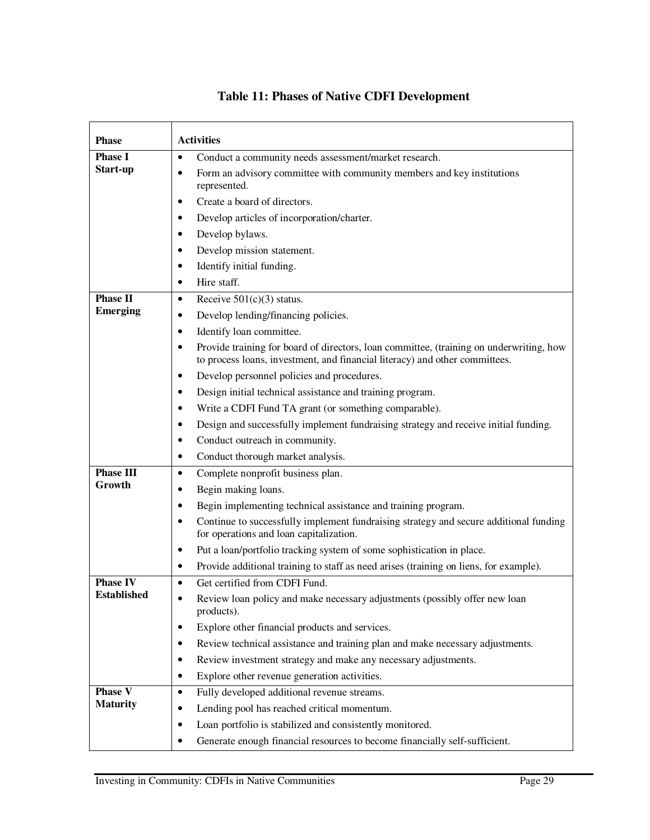| <b>Phase</b>       | <b>Activities</b>                                                                                                                                                      |
|--------------------|------------------------------------------------------------------------------------------------------------------------------------------------------------------------|
| <b>Phase I</b>     | Conduct a community needs assessment/market research.<br>$\bullet$                                                                                                     |
| Start-up           | Form an advisory committee with community members and key institutions<br>٠<br>represented.                                                                            |
|                    | Create a board of directors.<br>$\bullet$                                                                                                                              |
|                    | Develop articles of incorporation/charter.<br>٠                                                                                                                        |
|                    | Develop bylaws.<br>٠                                                                                                                                                   |
|                    | Develop mission statement.<br>٠                                                                                                                                        |
|                    | Identify initial funding.<br>٠                                                                                                                                         |
|                    | Hire staff.                                                                                                                                                            |
| <b>Phase II</b>    | Receive $501(c)(3)$ status.<br>$\bullet$                                                                                                                               |
| <b>Emerging</b>    | Develop lending/financing policies.                                                                                                                                    |
|                    | Identify loan committee.<br>٠                                                                                                                                          |
|                    | Provide training for board of directors, loan committee, (training on underwriting, how<br>to process loans, investment, and financial literacy) and other committees. |
|                    | Develop personnel policies and procedures.<br>$\bullet$                                                                                                                |
|                    | Design initial technical assistance and training program.<br>٠                                                                                                         |
|                    | Write a CDFI Fund TA grant (or something comparable).<br>٠                                                                                                             |
|                    | Design and successfully implement fundraising strategy and receive initial funding.<br>٠                                                                               |
|                    | Conduct outreach in community.<br>$\bullet$                                                                                                                            |
|                    | Conduct thorough market analysis.<br>٠                                                                                                                                 |
| <b>Phase III</b>   | Complete nonprofit business plan.<br>$\bullet$                                                                                                                         |
| Growth             | Begin making loans.<br>٠                                                                                                                                               |
|                    | Begin implementing technical assistance and training program.<br>$\bullet$                                                                                             |
|                    | Continue to successfully implement fundraising strategy and secure additional funding<br>$\bullet$<br>for operations and loan capitalization.                          |
|                    | Put a loan/portfolio tracking system of some sophistication in place.<br>$\bullet$                                                                                     |
|                    | Provide additional training to staff as need arises (training on liens, for example).<br>$\bullet$                                                                     |
| <b>Phase IV</b>    | Get certified from CDFI Fund.<br>$\bullet$                                                                                                                             |
| <b>Established</b> | Review loan policy and make necessary adjustments (possibly offer new loan<br>products).                                                                               |
|                    | Explore other financial products and services.<br>٠                                                                                                                    |
|                    | Review technical assistance and training plan and make necessary adjustments.<br>٠                                                                                     |
|                    | Review investment strategy and make any necessary adjustments.<br>٠                                                                                                    |
|                    | Explore other revenue generation activities.<br>$\bullet$                                                                                                              |
| <b>Phase V</b>     | Fully developed additional revenue streams.<br>٠                                                                                                                       |
| <b>Maturity</b>    | Lending pool has reached critical momentum.                                                                                                                            |
|                    | Loan portfolio is stabilized and consistently monitored.                                                                                                               |
|                    | Generate enough financial resources to become financially self-sufficient.                                                                                             |

## **Table 11: Phases of Native CDFI Development**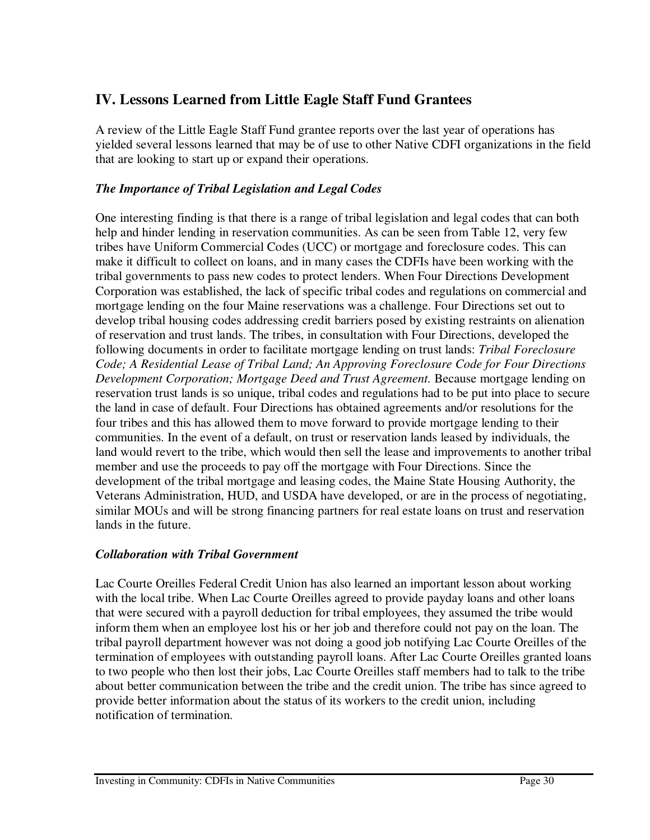## **IV. Lessons Learned from Little Eagle Staff Fund Grantees**

A review of the Little Eagle Staff Fund grantee reports over the last year of operations has yielded several lessons learned that may be of use to other Native CDFI organizations in the field that are looking to start up or expand their operations.

#### *The Importance of Tribal Legislation and Legal Codes*

One interesting finding is that there is a range of tribal legislation and legal codes that can both help and hinder lending in reservation communities. As can be seen from Table 12, very few tribes have Uniform Commercial Codes (UCC) or mortgage and foreclosure codes. This can make it difficult to collect on loans, and in many cases the CDFIs have been working with the tribal governments to pass new codes to protect lenders. When Four Directions Development Corporation was established, the lack of specific tribal codes and regulations on commercial and mortgage lending on the four Maine reservations was a challenge. Four Directions set out to develop tribal housing codes addressing credit barriers posed by existing restraints on alienation of reservation and trust lands. The tribes, in consultation with Four Directions, developed the following documents in order to facilitate mortgage lending on trust lands: *Tribal Foreclosure Code; A Residential Lease of Tribal Land; An Approving Foreclosure Code for Four Directions Development Corporation; Mortgage Deed and Trust Agreement.* Because mortgage lending on reservation trust lands is so unique, tribal codes and regulations had to be put into place to secure the land in case of default. Four Directions has obtained agreements and/or resolutions for the four tribes and this has allowed them to move forward to provide mortgage lending to their communities. In the event of a default, on trust or reservation lands leased by individuals, the land would revert to the tribe, which would then sell the lease and improvements to another tribal member and use the proceeds to pay off the mortgage with Four Directions. Since the development of the tribal mortgage and leasing codes, the Maine State Housing Authority, the Veterans Administration, HUD, and USDA have developed, or are in the process of negotiating, similar MOUs and will be strong financing partners for real estate loans on trust and reservation lands in the future.

#### *Collaboration with Tribal Government*

Lac Courte Oreilles Federal Credit Union has also learned an important lesson about working with the local tribe. When Lac Courte Oreilles agreed to provide payday loans and other loans that were secured with a payroll deduction for tribal employees, they assumed the tribe would inform them when an employee lost his or her job and therefore could not pay on the loan. The tribal payroll department however was not doing a good job notifying Lac Courte Oreilles of the termination of employees with outstanding payroll loans. After Lac Courte Oreilles granted loans to two people who then lost their jobs, Lac Courte Oreilles staff members had to talk to the tribe about better communication between the tribe and the credit union. The tribe has since agreed to provide better information about the status of its workers to the credit union, including notification of termination.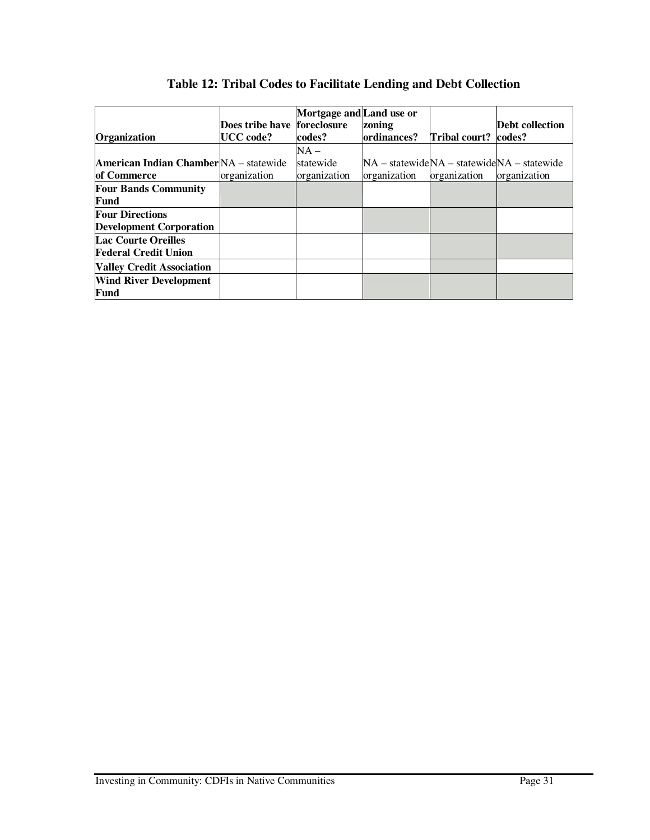|                                               |                             | Mortgage and Land use or |              |               |                                                               |
|-----------------------------------------------|-----------------------------|--------------------------|--------------|---------------|---------------------------------------------------------------|
|                                               | Does tribe have foreclosure |                          | zoning       |               | Debt collection                                               |
| Organization                                  | UCC code?                   | codes?                   | ordinances?  | Tribal court? | codes?                                                        |
|                                               |                             | $NA -$                   |              |               |                                                               |
| <b>American Indian Chamber</b> NA – statewide |                             | statewide                |              |               | $NA - statewide NA - statewide NA - statewide NA - statewide$ |
| of Commerce                                   | organization                | organization             | organization | organization  | organization                                                  |
| <b>Four Bands Community</b>                   |                             |                          |              |               |                                                               |
| Fund                                          |                             |                          |              |               |                                                               |
| <b>Four Directions</b>                        |                             |                          |              |               |                                                               |
| <b>Development Corporation</b>                |                             |                          |              |               |                                                               |
| <b>Lac Courte Oreilles</b>                    |                             |                          |              |               |                                                               |
| <b>Federal Credit Union</b>                   |                             |                          |              |               |                                                               |
| <b>Valley Credit Association</b>              |                             |                          |              |               |                                                               |
| <b>Wind River Development</b>                 |                             |                          |              |               |                                                               |
| Fund                                          |                             |                          |              |               |                                                               |

## **Table 12: Tribal Codes to Facilitate Lending and Debt Collection**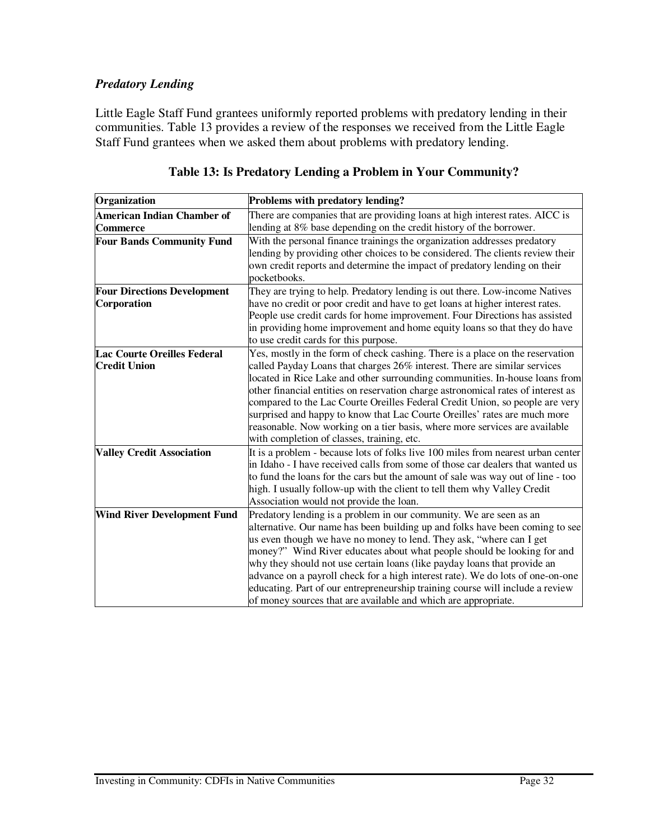#### *Predatory Lending*

Little Eagle Staff Fund grantees uniformly reported problems with predatory lending in their communities. Table 13 provides a review of the responses we received from the Little Eagle Staff Fund grantees when we asked them about problems with predatory lending.

| Organization                       | Problems with predatory lending?                                                 |
|------------------------------------|----------------------------------------------------------------------------------|
| <b>American Indian Chamber of</b>  | There are companies that are providing loans at high interest rates. AICC is     |
| <b>Commerce</b>                    | lending at 8% base depending on the credit history of the borrower.              |
| <b>Four Bands Community Fund</b>   | With the personal finance trainings the organization addresses predatory         |
|                                    | lending by providing other choices to be considered. The clients review their    |
|                                    | own credit reports and determine the impact of predatory lending on their        |
|                                    | pocketbooks.                                                                     |
| <b>Four Directions Development</b> | They are trying to help. Predatory lending is out there. Low-income Natives      |
| Corporation                        | have no credit or poor credit and have to get loans at higher interest rates.    |
|                                    | People use credit cards for home improvement. Four Directions has assisted       |
|                                    | in providing home improvement and home equity loans so that they do have         |
|                                    | to use credit cards for this purpose.                                            |
| <b>Lac Courte Oreilles Federal</b> | Yes, mostly in the form of check cashing. There is a place on the reservation    |
| <b>Credit Union</b>                | called Payday Loans that charges 26% interest. There are similar services        |
|                                    | located in Rice Lake and other surrounding communities. In-house loans from      |
|                                    | other financial entities on reservation charge astronomical rates of interest as |
|                                    | compared to the Lac Courte Oreilles Federal Credit Union, so people are very     |
|                                    | surprised and happy to know that Lac Courte Oreilles' rates are much more        |
|                                    | reasonable. Now working on a tier basis, where more services are available       |
|                                    | with completion of classes, training, etc.                                       |
| <b>Valley Credit Association</b>   | It is a problem - because lots of folks live 100 miles from nearest urban center |
|                                    | in Idaho - I have received calls from some of those car dealers that wanted us   |
|                                    | to fund the loans for the cars but the amount of sale was way out of line - too  |
|                                    | high. I usually follow-up with the client to tell them why Valley Credit         |
|                                    | Association would not provide the loan.                                          |
| <b>Wind River Development Fund</b> | Predatory lending is a problem in our community. We are seen as an               |
|                                    | alternative. Our name has been building up and folks have been coming to see     |
|                                    | us even though we have no money to lend. They ask, "where can I get              |
|                                    | money?" Wind River educates about what people should be looking for and          |
|                                    | why they should not use certain loans (like payday loans that provide an         |
|                                    | advance on a payroll check for a high interest rate). We do lots of one-on-one   |
|                                    | educating. Part of our entrepreneurship training course will include a review    |
|                                    | of money sources that are available and which are appropriate.                   |

#### **Table 13: Is Predatory Lending a Problem in Your Community?**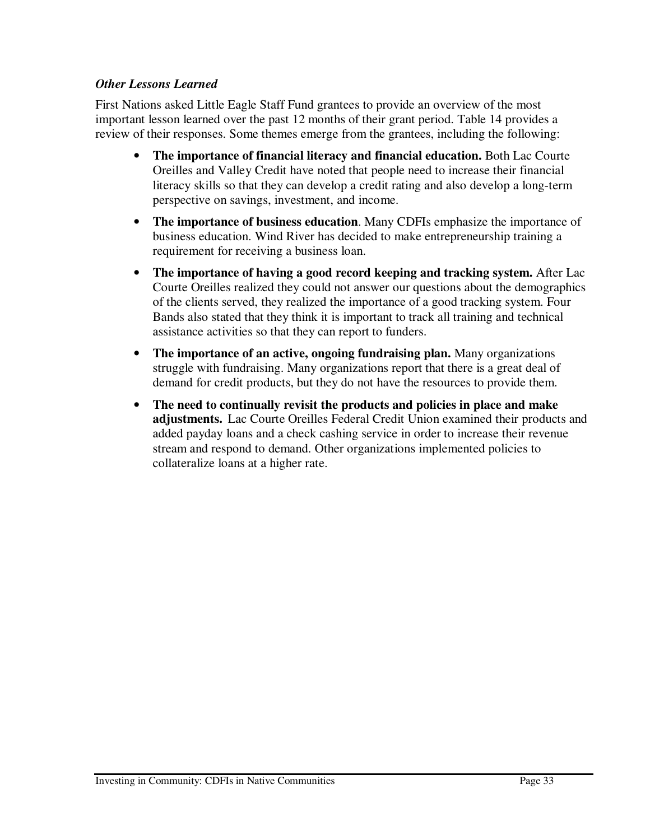#### *Other Lessons Learned*

First Nations asked Little Eagle Staff Fund grantees to provide an overview of the most important lesson learned over the past 12 months of their grant period. Table 14 provides a review of their responses. Some themes emerge from the grantees, including the following:

- **The importance of financial literacy and financial education.** Both Lac Courte Oreilles and Valley Credit have noted that people need to increase their financial literacy skills so that they can develop a credit rating and also develop a long-term perspective on savings, investment, and income.
- **The importance of business education**. Many CDFIs emphasize the importance of business education. Wind River has decided to make entrepreneurship training a requirement for receiving a business loan.
- **The importance of having a good record keeping and tracking system.** After Lac Courte Oreilles realized they could not answer our questions about the demographics of the clients served, they realized the importance of a good tracking system. Four Bands also stated that they think it is important to track all training and technical assistance activities so that they can report to funders.
- **The importance of an active, ongoing fundraising plan.** Many organizations struggle with fundraising. Many organizations report that there is a great deal of demand for credit products, but they do not have the resources to provide them.
- **The need to continually revisit the products and policies in place and make adjustments.** Lac Courte Oreilles Federal Credit Union examined their products and added payday loans and a check cashing service in order to increase their revenue stream and respond to demand. Other organizations implemented policies to collateralize loans at a higher rate.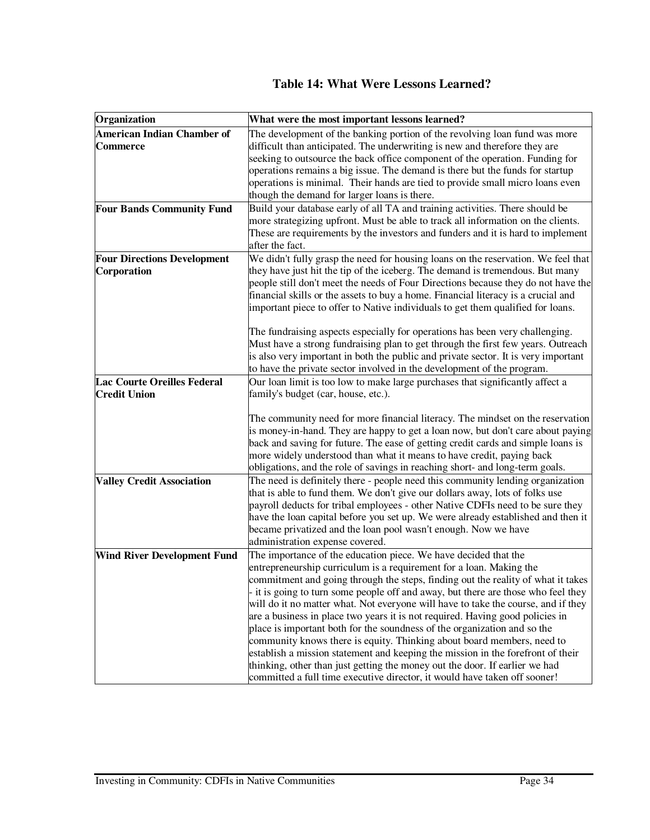### **Table 14: What Were Lessons Learned?**

| Organization                                              | What were the most important lessons learned?                                                                                                                                                                                                                                                                                                                                                                                                                                                                                                                                                                                                                                                                                                                                                                                                                                              |
|-----------------------------------------------------------|--------------------------------------------------------------------------------------------------------------------------------------------------------------------------------------------------------------------------------------------------------------------------------------------------------------------------------------------------------------------------------------------------------------------------------------------------------------------------------------------------------------------------------------------------------------------------------------------------------------------------------------------------------------------------------------------------------------------------------------------------------------------------------------------------------------------------------------------------------------------------------------------|
| <b>American Indian Chamber of</b><br><b>Commerce</b>      | The development of the banking portion of the revolving loan fund was more<br>difficult than anticipated. The underwriting is new and therefore they are<br>seeking to outsource the back office component of the operation. Funding for<br>operations remains a big issue. The demand is there but the funds for startup                                                                                                                                                                                                                                                                                                                                                                                                                                                                                                                                                                  |
|                                                           | operations is minimal. Their hands are tied to provide small micro loans even<br>though the demand for larger loans is there.                                                                                                                                                                                                                                                                                                                                                                                                                                                                                                                                                                                                                                                                                                                                                              |
| <b>Four Bands Community Fund</b>                          | Build your database early of all TA and training activities. There should be<br>more strategizing upfront. Must be able to track all information on the clients.<br>These are requirements by the investors and funders and it is hard to implement<br>after the fact.                                                                                                                                                                                                                                                                                                                                                                                                                                                                                                                                                                                                                     |
| <b>Four Directions Development</b><br>Corporation         | We didn't fully grasp the need for housing loans on the reservation. We feel that<br>they have just hit the tip of the iceberg. The demand is tremendous. But many<br>people still don't meet the needs of Four Directions because they do not have the<br>financial skills or the assets to buy a home. Financial literacy is a crucial and<br>important piece to offer to Native individuals to get them qualified for loans.                                                                                                                                                                                                                                                                                                                                                                                                                                                            |
|                                                           | The fundraising aspects especially for operations has been very challenging.<br>Must have a strong fundraising plan to get through the first few years. Outreach<br>is also very important in both the public and private sector. It is very important<br>to have the private sector involved in the development of the program.                                                                                                                                                                                                                                                                                                                                                                                                                                                                                                                                                           |
| <b>Lac Courte Oreilles Federal</b><br><b>Credit Union</b> | Our loan limit is too low to make large purchases that significantly affect a<br>family's budget (car, house, etc.).<br>The community need for more financial literacy. The mindset on the reservation<br>is money-in-hand. They are happy to get a loan now, but don't care about paying<br>back and saving for future. The ease of getting credit cards and simple loans is                                                                                                                                                                                                                                                                                                                                                                                                                                                                                                              |
|                                                           | more widely understood than what it means to have credit, paying back<br>obligations, and the role of savings in reaching short- and long-term goals.                                                                                                                                                                                                                                                                                                                                                                                                                                                                                                                                                                                                                                                                                                                                      |
| <b>Valley Credit Association</b>                          | The need is definitely there - people need this community lending organization<br>that is able to fund them. We don't give our dollars away, lots of folks use<br>payroll deducts for tribal employees - other Native CDFIs need to be sure they<br>have the loan capital before you set up. We were already established and then it<br>became privatized and the loan pool wasn't enough. Now we have<br>administration expense covered.                                                                                                                                                                                                                                                                                                                                                                                                                                                  |
| <b>Wind River Development Fund</b>                        | The importance of the education piece. We have decided that the<br>entrepreneurship curriculum is a requirement for a loan. Making the<br>commitment and going through the steps, finding out the reality of what it takes<br>- it is going to turn some people off and away, but there are those who feel they<br>will do it no matter what. Not everyone will have to take the course, and if they<br>are a business in place two years it is not required. Having good policies in<br>place is important both for the soundness of the organization and so the<br>community knows there is equity. Thinking about board members, need to<br>establish a mission statement and keeping the mission in the forefront of their<br>thinking, other than just getting the money out the door. If earlier we had<br>committed a full time executive director, it would have taken off sooner! |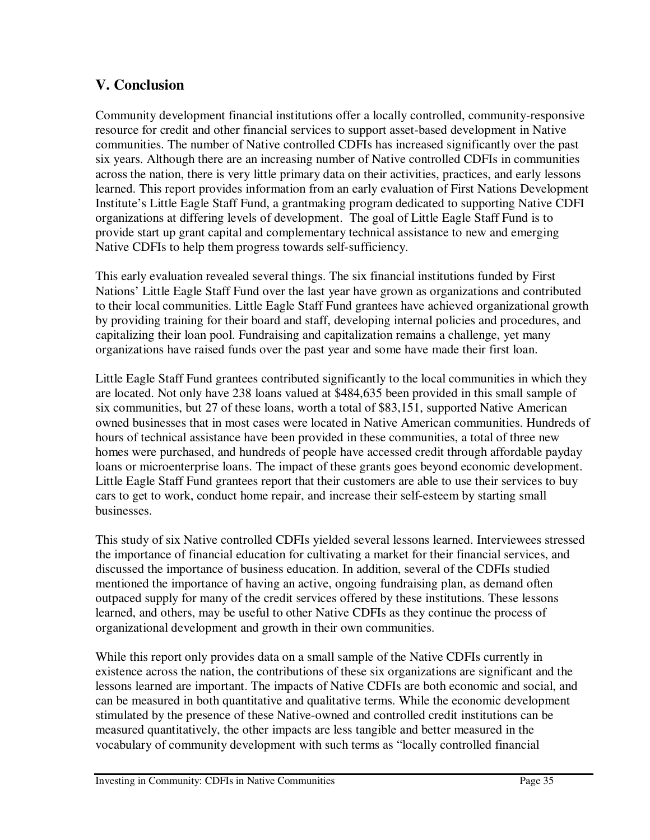## **V. Conclusion**

Community development financial institutions offer a locally controlled, community-responsive resource for credit and other financial services to support asset-based development in Native communities. The number of Native controlled CDFIs has increased significantly over the past six years. Although there are an increasing number of Native controlled CDFIs in communities across the nation, there is very little primary data on their activities, practices, and early lessons learned. This report provides information from an early evaluation of First Nations Development Institute's Little Eagle Staff Fund, a grantmaking program dedicated to supporting Native CDFI organizations at differing levels of development. The goal of Little Eagle Staff Fund is to provide start up grant capital and complementary technical assistance to new and emerging Native CDFIs to help them progress towards self-sufficiency.

This early evaluation revealed several things. The six financial institutions funded by First Nations' Little Eagle Staff Fund over the last year have grown as organizations and contributed to their local communities. Little Eagle Staff Fund grantees have achieved organizational growth by providing training for their board and staff, developing internal policies and procedures, and capitalizing their loan pool. Fundraising and capitalization remains a challenge, yet many organizations have raised funds over the past year and some have made their first loan.

Little Eagle Staff Fund grantees contributed significantly to the local communities in which they are located. Not only have 238 loans valued at \$484,635 been provided in this small sample of six communities, but 27 of these loans, worth a total of \$83,151, supported Native American owned businesses that in most cases were located in Native American communities. Hundreds of hours of technical assistance have been provided in these communities, a total of three new homes were purchased, and hundreds of people have accessed credit through affordable payday loans or microenterprise loans. The impact of these grants goes beyond economic development. Little Eagle Staff Fund grantees report that their customers are able to use their services to buy cars to get to work, conduct home repair, and increase their self-esteem by starting small businesses.

This study of six Native controlled CDFIs yielded several lessons learned. Interviewees stressed the importance of financial education for cultivating a market for their financial services, and discussed the importance of business education. In addition, several of the CDFIs studied mentioned the importance of having an active, ongoing fundraising plan, as demand often outpaced supply for many of the credit services offered by these institutions. These lessons learned, and others, may be useful to other Native CDFIs as they continue the process of organizational development and growth in their own communities.

While this report only provides data on a small sample of the Native CDFIs currently in existence across the nation, the contributions of these six organizations are significant and the lessons learned are important. The impacts of Native CDFIs are both economic and social, and can be measured in both quantitative and qualitative terms. While the economic development stimulated by the presence of these Native-owned and controlled credit institutions can be measured quantitatively, the other impacts are less tangible and better measured in the vocabulary of community development with such terms as "locally controlled financial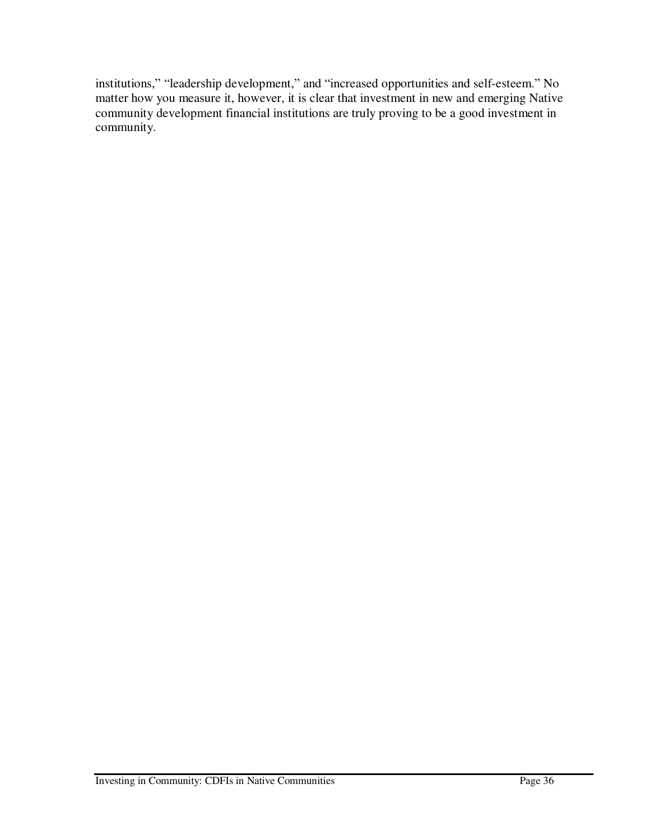institutions," "leadership development," and "increased opportunities and self-esteem." No matter how you measure it, however, it is clear that investment in new and emerging Native community development financial institutions are truly proving to be a good investment in community.